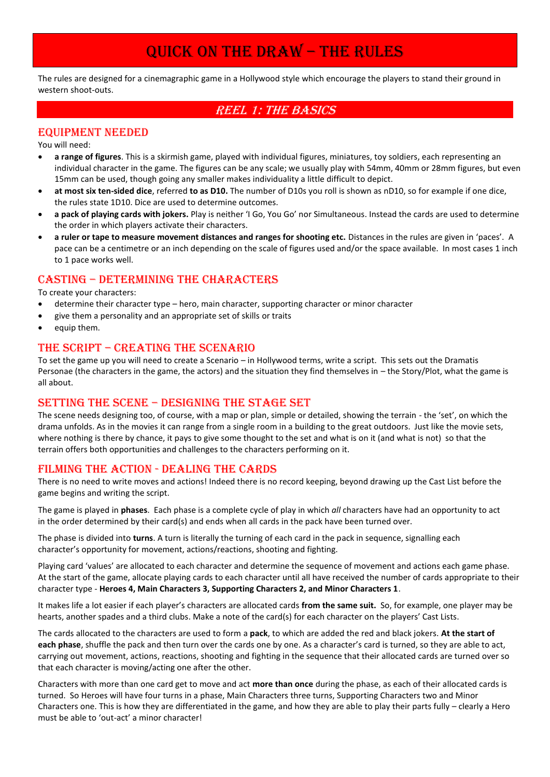# QUICK ON THE DRAW – THE RULES

The rules are designed for a cinemagraphic game in a Hollywood style which encourage the players to stand their ground in western shoot-outs.

# REEL 1: THE BASICS

## EQUIPMENT NEEDED

You will need:

- **a range of figures**. This is a skirmish game, played with individual figures, miniatures, toy soldiers, each representing an individual character in the game. The figures can be any scale; we usually play with 54mm, 40mm or 28mm figures, but even 15mm can be used, though going any smaller makes individuality a little difficult to depict.
- **at most six ten-sided dice**, referred **to as D10.** The number of D10s you roll is shown as nD10, so for example if one dice, the rules state 1D10. Dice are used to determine outcomes.
- **a pack of playing cards with jokers.** Play is neither 'I Go, You Go' nor Simultaneous. Instead the cards are used to determine the order in which players activate their characters.
- **a ruler or tape to measure movement distances and ranges for shooting etc.** Distances in the rules are given in 'paces'. A pace can be a centimetre or an inch depending on the scale of figures used and/or the space available. In most cases 1 inch to 1 pace works well.

## CASTING – DETERMINING THE CHARACTERS

To create your characters:

- determine their character type hero, main character, supporting character or minor character
- give them a personality and an appropriate set of skills or traits
- equip them.

#### THE SCRIPT – CREATING THE SCENARIO

To set the game up you will need to create a Scenario – in Hollywood terms, write a script. This sets out the Dramatis Personae (the characters in the game, the actors) and the situation they find themselves in – the Story/Plot, what the game is all about.

## SETTING THE SCENE – DESIGNING THE STAGE SET

The scene needs designing too, of course, with a map or plan, simple or detailed, showing the terrain - the 'set', on which the drama unfolds. As in the movies it can range from a single room in a building to the great outdoors. Just like the movie sets, where nothing is there by chance, it pays to give some thought to the set and what is on it (and what is not) so that the terrain offers both opportunities and challenges to the characters performing on it.

## FILMING THE ACTION - DEALING THE CARDS

There is no need to write moves and actions! Indeed there is no record keeping, beyond drawing up the Cast List before the game begins and writing the script.

The game is played in **phases**. Each phase is a complete cycle of play in which *all* characters have had an opportunity to act in the order determined by their card(s) and ends when all cards in the pack have been turned over.

The phase is divided into **turns**. A turn is literally the turning of each card in the pack in sequence, signalling each character's opportunity for movement, actions/reactions, shooting and fighting.

Playing card 'values' are allocated to each character and determine the sequence of movement and actions each game phase. At the start of the game, allocate playing cards to each character until all have received the number of cards appropriate to their character type - **Heroes 4, Main Characters 3, Supporting Characters 2, and Minor Characters 1**.

It makes life a lot easier if each player's characters are allocated cards **from the same suit.** So, for example, one player may be hearts, another spades and a third clubs. Make a note of the card(s) for each character on the players' Cast Lists.

The cards allocated to the characters are used to form a **pack**, to which are added the red and black jokers. **At the start of each phase**, shuffle the pack and then turn over the cards one by one. As a character's card is turned, so they are able to act, carrying out movement, actions, reactions, shooting and fighting in the sequence that their allocated cards are turned over so that each character is moving/acting one after the other.

Characters with more than one card get to move and act **more than once** during the phase, as each of their allocated cards is turned. So Heroes will have four turns in a phase, Main Characters three turns, Supporting Characters two and Minor Characters one. This is how they are differentiated in the game, and how they are able to play their parts fully – clearly a Hero must be able to 'out-act' a minor character!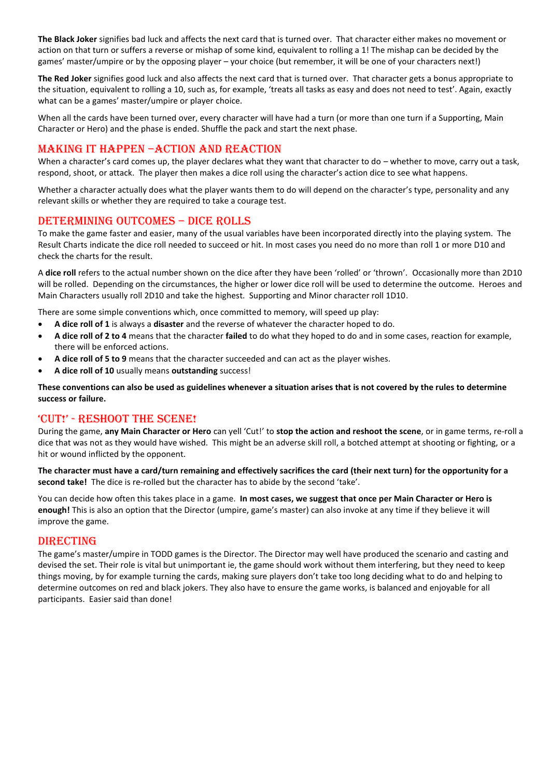**The Black Joker** signifies bad luck and affects the next card that is turned over. That character either makes no movement or action on that turn or suffers a reverse or mishap of some kind, equivalent to rolling a 1! The mishap can be decided by the games' master/umpire or by the opposing player – your choice (but remember, it will be one of your characters next!)

**The Red Joker** signifies good luck and also affects the next card that is turned over. That character gets a bonus appropriate to the situation, equivalent to rolling a 10, such as, for example, 'treats all tasks as easy and does not need to test'. Again, exactly what can be a games' master/umpire or player choice.

When all the cards have been turned over, every character will have had a turn (or more than one turn if a Supporting, Main Character or Hero) and the phase is ended. Shuffle the pack and start the next phase.

#### MAKING IT HAPPEN –ACTION AND REACTION

When a character's card comes up, the player declares what they want that character to do – whether to move, carry out a task, respond, shoot, or attack. The player then makes a dice roll using the character's action dice to see what happens.

Whether a character actually does what the player wants them to do will depend on the character's type, personality and any relevant skills or whether they are required to take a courage test.

#### DETERMINING OUTCOMES – DICE ROLLS

To make the game faster and easier, many of the usual variables have been incorporated directly into the playing system. The Result Charts indicate the dice roll needed to succeed or hit. In most cases you need do no more than roll 1 or more D10 and check the charts for the result.

A **dice roll** refers to the actual number shown on the dice after they have been 'rolled' or 'thrown'. Occasionally more than 2D10 will be rolled. Depending on the circumstances, the higher or lower dice roll will be used to determine the outcome. Heroes and Main Characters usually roll 2D10 and take the highest. Supporting and Minor character roll 1D10.

There are some simple conventions which, once committed to memory, will speed up play:

- **A dice roll of 1** is always a **disaster** and the reverse of whatever the character hoped to do.
- **A dice roll of 2 to 4** means that the character **failed** to do what they hoped to do and in some cases, reaction for example, there will be enforced actions.
- **A dice roll of 5 to 9** means that the character succeeded and can act as the player wishes.
- **A dice roll of 10** usually means **outstanding** success!

**These conventions can also be used as guidelines whenever a situation arises that is not covered by the rules to determine success or failure.**

## 'CUT!' - RESHOOT THE SCENE!

During the game, **any Main Character or Hero** can yell 'Cut!' to **stop the action and reshoot the scene**, or in game terms, re-roll a dice that was not as they would have wished. This might be an adverse skill roll, a botched attempt at shooting or fighting, or a hit or wound inflicted by the opponent.

**The character must have a card/turn remaining and effectively sacrifices the card (their next turn) for the opportunity for a second take!** The dice is re-rolled but the character has to abide by the second 'take'.

You can decide how often this takes place in a game. **In most cases, we suggest that once per Main Character or Hero is enough!** This is also an option that the Director (umpire, game's master) can also invoke at any time if they believe it will improve the game.

#### DIRECTING

The game's master/umpire in TODD games is the Director. The Director may well have produced the scenario and casting and devised the set. Their role is vital but unimportant ie, the game should work without them interfering, but they need to keep things moving, by for example turning the cards, making sure players don't take too long deciding what to do and helping to determine outcomes on red and black jokers. They also have to ensure the game works, is balanced and enjoyable for all participants. Easier said than done!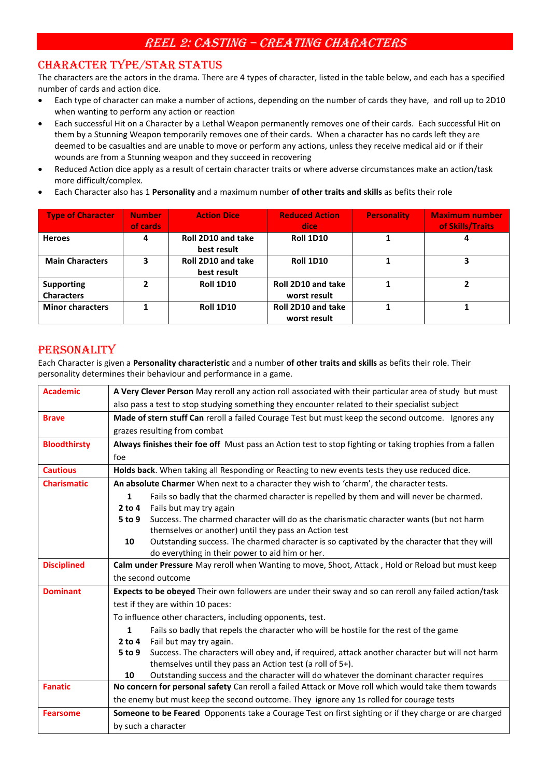# REEL 2: CASTING – CREATING CHARACTERS

# CHARACTER TYPE/STAR STATUS

The characters are the actors in the drama. There are 4 types of character, listed in the table below, and each has a specified number of cards and action dice.

- Each type of character can make a number of actions, depending on the number of cards they have, and roll up to 2D10 when wanting to perform any action or reaction
- Each successful Hit on a Character by a Lethal Weapon permanently removes one of their cards. Each successful Hit on them by a Stunning Weapon temporarily removes one of their cards. When a character has no cards left they are deemed to be casualties and are unable to move or perform any actions, unless they receive medical aid or if their wounds are from a Stunning weapon and they succeed in recovering
- Reduced Action dice apply as a result of certain character traits or where adverse circumstances make an action/task more difficult/complex.
- Each Character also has 1 **Personality** and a maximum number **of other traits and skills** as befits their role

| <b>Type of Character</b>               | <b>Number</b><br>of cards | <b>Action Dice</b>                | <b>Reduced Action</b><br>dice      | <b>Personality</b> | <b>Maximum number</b><br>of Skills/Traits |
|----------------------------------------|---------------------------|-----------------------------------|------------------------------------|--------------------|-------------------------------------------|
| <b>Heroes</b>                          | 4                         | Roll 2D10 and take<br>best result | <b>Roll 1D10</b>                   |                    |                                           |
| <b>Main Characters</b>                 | 3                         | Roll 2D10 and take<br>best result | <b>Roll 1D10</b>                   |                    |                                           |
| <b>Supporting</b><br><b>Characters</b> |                           | <b>Roll 1D10</b>                  | Roll 2D10 and take<br>worst result |                    | ּ                                         |
| <b>Minor characters</b>                |                           | <b>Roll 1D10</b>                  | Roll 2D10 and take<br>worst result |                    |                                           |

# PERSONALITY

Each Character is given a **Personality characteristic** and a number **of other traits and skills** as befits their role. Their personality determines their behaviour and performance in a game.

| <b>Academic</b>     | A Very Clever Person May reroll any action roll associated with their particular area of study but must  |  |  |  |
|---------------------|----------------------------------------------------------------------------------------------------------|--|--|--|
|                     | also pass a test to stop studying something they encounter related to their specialist subject           |  |  |  |
| <b>Brave</b>        | Made of stern stuff Can reroll a failed Courage Test but must keep the second outcome. Ignores any       |  |  |  |
|                     | grazes resulting from combat                                                                             |  |  |  |
| <b>Bloodthirsty</b> | Always finishes their foe off Must pass an Action test to stop fighting or taking trophies from a fallen |  |  |  |
|                     | foe                                                                                                      |  |  |  |
| <b>Cautious</b>     | Holds back. When taking all Responding or Reacting to new events tests they use reduced dice.            |  |  |  |
| <b>Charismatic</b>  | An absolute Charmer When next to a character they wish to 'charm', the character tests.                  |  |  |  |
|                     | Fails so badly that the charmed character is repelled by them and will never be charmed.<br>$\mathbf{1}$ |  |  |  |
|                     | Fails but may try again<br>$2$ to 4                                                                      |  |  |  |
|                     | Success. The charmed character will do as the charismatic character wants (but not harm<br>5 to 9        |  |  |  |
|                     | themselves or another) until they pass an Action test                                                    |  |  |  |
|                     | Outstanding success. The charmed character is so captivated by the character that they will<br>10        |  |  |  |
|                     | do everything in their power to aid him or her.                                                          |  |  |  |
|                     |                                                                                                          |  |  |  |
| <b>Disciplined</b>  | Calm under Pressure May reroll when Wanting to move, Shoot, Attack, Hold or Reload but must keep         |  |  |  |
|                     | the second outcome                                                                                       |  |  |  |
| <b>Dominant</b>     | Expects to be obeyed Their own followers are under their sway and so can reroll any failed action/task   |  |  |  |
|                     | test if they are within 10 paces:                                                                        |  |  |  |
|                     | To influence other characters, including opponents, test.                                                |  |  |  |
|                     | $\mathbf{1}$<br>Fails so badly that repels the character who will be hostile for the rest of the game    |  |  |  |
|                     | Fail but may try again.<br>$2$ to 4                                                                      |  |  |  |
|                     | Success. The characters will obey and, if required, attack another character but will not harm<br>5 to 9 |  |  |  |
|                     | themselves until they pass an Action test (a roll of 5+).                                                |  |  |  |
|                     | Outstanding success and the character will do whatever the dominant character requires<br>10             |  |  |  |
| <b>Fanatic</b>      | No concern for personal safety Can reroll a failed Attack or Move roll which would take them towards     |  |  |  |
|                     | the enemy but must keep the second outcome. They ignore any 1s rolled for courage tests                  |  |  |  |
| <b>Fearsome</b>     | Someone to be Feared Opponents take a Courage Test on first sighting or if they charge or are charged    |  |  |  |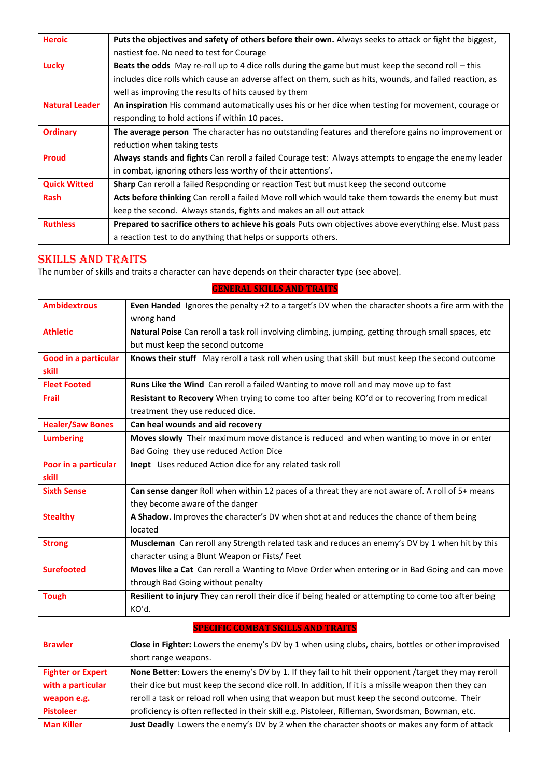| <b>Heroic</b>         | Puts the objectives and safety of others before their own. Always seeks to attack or fight the biggest,  |
|-----------------------|----------------------------------------------------------------------------------------------------------|
|                       | nastiest foe. No need to test for Courage                                                                |
| Lucky                 | Beats the odds May re-roll up to 4 dice rolls during the game but must keep the second roll - this       |
|                       | includes dice rolls which cause an adverse affect on them, such as hits, wounds, and failed reaction, as |
|                       | well as improving the results of hits caused by them                                                     |
| <b>Natural Leader</b> | An inspiration His command automatically uses his or her dice when testing for movement, courage or      |
|                       | responding to hold actions if within 10 paces.                                                           |
| <b>Ordinary</b>       | The average person The character has no outstanding features and therefore gains no improvement or       |
|                       | reduction when taking tests                                                                              |
| Proud                 | Always stands and fights Can reroll a failed Courage test: Always attempts to engage the enemy leader    |
|                       | in combat, ignoring others less worthy of their attentions'.                                             |
| <b>Quick Witted</b>   | <b>Sharp</b> Can reroll a failed Responding or reaction Test but must keep the second outcome            |
| <b>Rash</b>           | Acts before thinking Can reroll a failed Move roll which would take them towards the enemy but must      |
|                       | keep the second. Always stands, fights and makes an all out attack                                       |
| <b>Ruthless</b>       | Prepared to sacrifice others to achieve his goals Puts own objectives above everything else. Must pass   |
|                       | a reaction test to do anything that helps or supports others.                                            |

# SKILLS AND TRAITS

The number of skills and traits a character can have depends on their character type (see above).

| <b>Ambidextrous</b>         | Even Handed Ignores the penalty +2 to a target's DV when the character shoots a fire arm with the    |
|-----------------------------|------------------------------------------------------------------------------------------------------|
|                             | wrong hand                                                                                           |
| <b>Athletic</b>             | Natural Poise Can reroll a task roll involving climbing, jumping, getting through small spaces, etc  |
|                             | but must keep the second outcome                                                                     |
| <b>Good in a particular</b> | Knows their stuff May reroll a task roll when using that skill but must keep the second outcome      |
| skill                       |                                                                                                      |
| <b>Fleet Footed</b>         | Runs Like the Wind Can reroll a failed Wanting to move roll and may move up to fast                  |
| Frail                       | Resistant to Recovery When trying to come too after being KO'd or to recovering from medical         |
|                             | treatment they use reduced dice.                                                                     |
| <b>Healer/Saw Bones</b>     | Can heal wounds and aid recovery                                                                     |
| <b>Lumbering</b>            | Moves slowly Their maximum move distance is reduced and when wanting to move in or enter             |
|                             | Bad Going they use reduced Action Dice                                                               |
| Poor in a particular        | Inept Uses reduced Action dice for any related task roll                                             |
| skill                       |                                                                                                      |
| <b>Sixth Sense</b>          | Can sense danger Roll when within 12 paces of a threat they are not aware of. A roll of 5+ means     |
|                             | they become aware of the danger                                                                      |
| <b>Stealthy</b>             | A Shadow. Improves the character's DV when shot at and reduces the chance of them being              |
|                             | located                                                                                              |
| <b>Strong</b>               | Muscleman Can reroll any Strength related task and reduces an enemy's DV by 1 when hit by this       |
|                             | character using a Blunt Weapon or Fists/ Feet                                                        |
| <b>Surefooted</b>           | Moves like a Cat Can reroll a Wanting to Move Order when entering or in Bad Going and can move       |
|                             | through Bad Going without penalty                                                                    |
| <b>Tough</b>                | Resilient to injury They can reroll their dice if being healed or attempting to come too after being |
|                             | KO'd.                                                                                                |
|                             |                                                                                                      |

## **GENERAL SKILLS AND TRAITS**

**SPECIFIC COMBAT SKILLS AND TRAITS**

| <b>Brawler</b>           | Close in Fighter: Lowers the enemy's DV by 1 when using clubs, chairs, bottles or other improvised  |  |  |  |
|--------------------------|-----------------------------------------------------------------------------------------------------|--|--|--|
|                          | short range weapons.                                                                                |  |  |  |
| <b>Fighter or Expert</b> | None Better: Lowers the enemy's DV by 1. If they fail to hit their opponent /target they may reroll |  |  |  |
| with a particular        | their dice but must keep the second dice roll. In addition, If it is a missile weapon then they can |  |  |  |
| weapon e.g.              | reroll a task or reload roll when using that weapon but must keep the second outcome. Their         |  |  |  |
| <b>Pistoleer</b>         | proficiency is often reflected in their skill e.g. Pistoleer, Rifleman, Swordsman, Bowman, etc.     |  |  |  |
| <b>Man Killer</b>        | Just Deadly Lowers the enemy's DV by 2 when the character shoots or makes any form of attack        |  |  |  |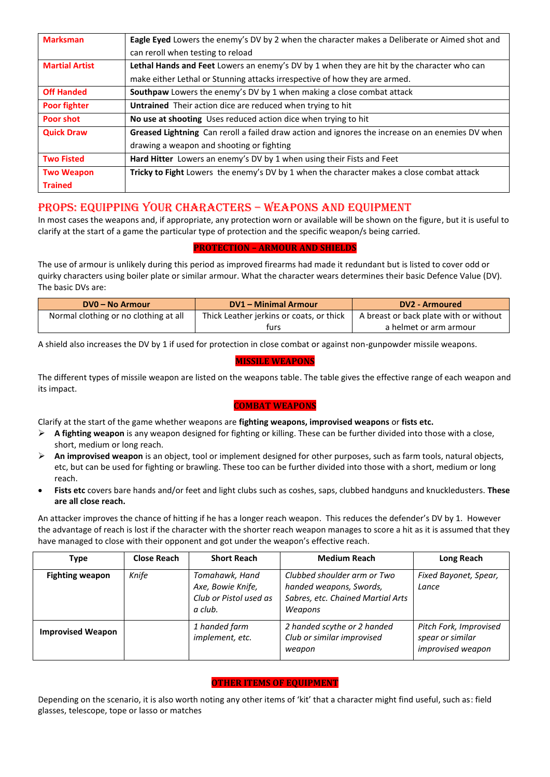| <b>Marksman</b>       | Eagle Eyed Lowers the enemy's DV by 2 when the character makes a Deliberate or Aimed shot and    |
|-----------------------|--------------------------------------------------------------------------------------------------|
|                       | can reroll when testing to reload                                                                |
| <b>Martial Artist</b> | Lethal Hands and Feet Lowers an enemy's DV by 1 when they are hit by the character who can       |
|                       | make either Lethal or Stunning attacks irrespective of how they are armed.                       |
| <b>Off Handed</b>     | Southpaw Lowers the enemy's DV by 1 when making a close combat attack                            |
| <b>Poor fighter</b>   | Untrained Their action dice are reduced when trying to hit                                       |
| <b>Poor shot</b>      | No use at shooting Uses reduced action dice when trying to hit                                   |
| <b>Quick Draw</b>     | Greased Lightning Can reroll a failed draw action and ignores the increase on an enemies DV when |
|                       | drawing a weapon and shooting or fighting                                                        |
| <b>Two Fisted</b>     | Hard Hitter Lowers an enemy's DV by 1 when using their Fists and Feet                            |
| <b>Two Weapon</b>     | Tricky to Fight Lowers the enemy's DV by 1 when the character makes a close combat attack        |
| <b>Trained</b>        |                                                                                                  |

# PROPS: EQUIPPING YOUR CHARACTERS – WEAPONS AND EQUIPMENT

In most cases the weapons and, if appropriate, any protection worn or available will be shown on the figure, but it is useful to clarify at the start of a game the particular type of protection and the specific weapon/s being carried.

#### **PROTECTION – ARMOUR AND SHIELDS**

The use of armour is unlikely during this period as improved firearms had made it redundant but is listed to cover odd or quirky characters using boiler plate or similar armour. What the character wears determines their basic Defence Value (DV). The basic DVs are:

| DV0 – No Armour                       | <b>DV1 - Minimal Armour</b>                                                        | DV2 - Armoured         |  |
|---------------------------------------|------------------------------------------------------------------------------------|------------------------|--|
| Normal clothing or no clothing at all | Thick Leather jerkins or coats, or thick<br>A breast or back plate with or without |                        |  |
|                                       | turs                                                                               | a helmet or arm armour |  |

A shield also increases the DV by 1 if used for protection in close combat or against non-gunpowder missile weapons.

#### **MISSILE WEAPONS**

The different types of missile weapon are listed on the weapons table. The table gives the effective range of each weapon and its impact.

#### **COMBAT WEAPONS**

Clarify at the start of the game whether weapons are **fighting weapons, improvised weapons** or **fists etc.**

- ➢ **A fighting weapon** is any weapon designed for fighting or killing. These can be further divided into those with a close, short, medium or long reach.
- ➢ **An improvised weapon** is an object, tool or implement designed for other purposes, such as farm tools, natural objects, etc, but can be used for fighting or brawling. These too can be further divided into those with a short, medium or long reach.
- **Fists etc** covers bare hands and/or feet and light clubs such as coshes, saps, clubbed handguns and knuckledusters. **These are all close reach.**

An attacker improves the chance of hitting if he has a longer reach weapon. This reduces the defender's DV by 1. However the advantage of reach is lost if the character with the shorter reach weapon manages to score a hit as it is assumed that they have managed to close with their opponent and got under the weapon's effective reach.

| <b>Type</b>              | Close Reach | <b>Short Reach</b>                                                       | <b>Medium Reach</b>                                                                                    | Long Reach                                                      |
|--------------------------|-------------|--------------------------------------------------------------------------|--------------------------------------------------------------------------------------------------------|-----------------------------------------------------------------|
| <b>Fighting weapon</b>   | Knife       | Tomahawk, Hand<br>Axe, Bowie Knife,<br>Club or Pistol used as<br>a club. | Clubbed shoulder arm or Two<br>handed weapons, Swords,<br>Sabres, etc. Chained Martial Arts<br>Weapons | Fixed Bayonet, Spear,<br>Lance                                  |
| <b>Improvised Weapon</b> |             | 1 handed farm<br>implement, etc.                                         | 2 handed scythe or 2 handed<br>Club or similar improvised<br>weapon                                    | Pitch Fork, Improvised<br>spear or similar<br>improvised weapon |

#### **OTHER ITEMS OF EQUIPMENT**

Depending on the scenario, it is also worth noting any other items of 'kit' that a character might find useful, such as: field glasses, telescope, tope or lasso or matches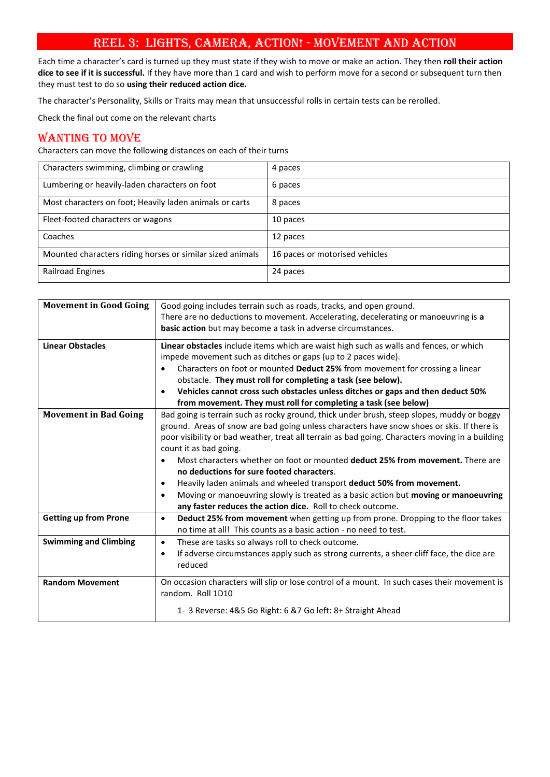# REEL 3: LIGHTS, CAMERA, ACTION! - MOVEMENT AND ACTION

Each time a character's card is turned up they must state if they wish to move or make an action. They then **roll their action dice to see if it is successful.** If they have more than 1 card and wish to perform move for a second or subsequent turn then they must test to do so **using their reduced action dice.**

The character's Personality, Skills or Traits may mean that unsuccessful rolls in certain tests can be rerolled.

Check the final out come on the relevant charts

# WANTING TO MOVE

Characters can move the following distances on each of their turns

| Characters swimming, climbing or crawling                 | 4 paces                        |
|-----------------------------------------------------------|--------------------------------|
|                                                           |                                |
| Lumbering or heavily-laden characters on foot             | 6 paces                        |
| Most characters on foot; Heavily laden animals or carts   | 8 paces                        |
| Fleet-footed characters or wagons                         | 10 paces                       |
| Coaches                                                   | 12 paces                       |
| Mounted characters riding horses or similar sized animals | 16 paces or motorised vehicles |
| Railroad Engines                                          | 24 paces                       |

| <b>Movement in Good Going</b> | Good going includes terrain such as roads, tracks, and open ground.<br>There are no deductions to movement. Accelerating, decelerating or manoeuvring is a                                                                                                                                                                                                                                                                                                                                                                                                                                                                                                                                      |
|-------------------------------|-------------------------------------------------------------------------------------------------------------------------------------------------------------------------------------------------------------------------------------------------------------------------------------------------------------------------------------------------------------------------------------------------------------------------------------------------------------------------------------------------------------------------------------------------------------------------------------------------------------------------------------------------------------------------------------------------|
|                               | basic action but may become a task in adverse circumstances.                                                                                                                                                                                                                                                                                                                                                                                                                                                                                                                                                                                                                                    |
| <b>Linear Obstacles</b>       | Linear obstacles include items which are waist high such as walls and fences, or which<br>impede movement such as ditches or gaps (up to 2 paces wide).<br>Characters on foot or mounted Deduct 25% from movement for crossing a linear<br>obstacle. They must roll for completing a task (see below).                                                                                                                                                                                                                                                                                                                                                                                          |
|                               | Vehicles cannot cross such obstacles unless ditches or gaps and then deduct 50%<br>$\bullet$                                                                                                                                                                                                                                                                                                                                                                                                                                                                                                                                                                                                    |
|                               | from movement. They must roll for completing a task (see below)                                                                                                                                                                                                                                                                                                                                                                                                                                                                                                                                                                                                                                 |
| <b>Movement in Bad Going</b>  | Bad going is terrain such as rocky ground, thick under brush, steep slopes, muddy or boggy<br>ground. Areas of snow are bad going unless characters have snow shoes or skis. If there is<br>poor visibility or bad weather, treat all terrain as bad going. Characters moving in a building<br>count it as bad going.<br>Most characters whether on foot or mounted deduct 25% from movement. There are<br>no deductions for sure footed characters.<br>Heavily laden animals and wheeled transport deduct 50% from movement.<br>$\bullet$<br>Moving or manoeuvring slowly is treated as a basic action but moving or manoeuvring<br>any faster reduces the action dice. Roll to check outcome. |
| <b>Getting up from Prone</b>  | Deduct 25% from movement when getting up from prone. Dropping to the floor takes<br>$\bullet$<br>no time at all! This counts as a basic action - no need to test.                                                                                                                                                                                                                                                                                                                                                                                                                                                                                                                               |
| <b>Swimming and Climbing</b>  | These are tasks so always roll to check outcome.<br>$\bullet$<br>If adverse circumstances apply such as strong currents, a sheer cliff face, the dice are<br>٠<br>reduced                                                                                                                                                                                                                                                                                                                                                                                                                                                                                                                       |
| <b>Random Movement</b>        | On occasion characters will slip or lose control of a mount. In such cases their movement is<br>random. Roll 1D10                                                                                                                                                                                                                                                                                                                                                                                                                                                                                                                                                                               |
|                               | 1- 3 Reverse: 4&5 Go Right: 6 &7 Go left: 8+ Straight Ahead                                                                                                                                                                                                                                                                                                                                                                                                                                                                                                                                                                                                                                     |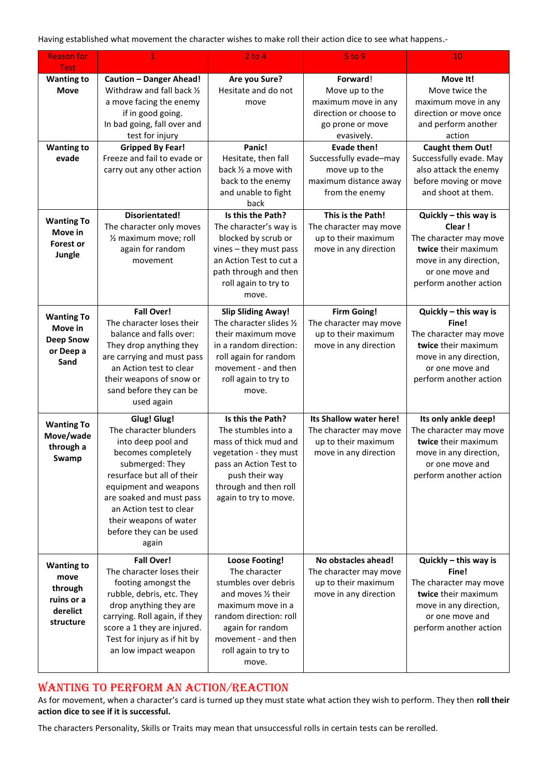Having established what movement the character wishes to make roll their action dice to see what happens.-

| <b>Reason for</b><br><b>Test</b>                                            | 1                                                                                                                                                                                                                                                                                       | $2$ to $4$                                                                                                                                                                                                       | $5$ to $9$                                                                                                    | 10                                                                                                                                                      |
|-----------------------------------------------------------------------------|-----------------------------------------------------------------------------------------------------------------------------------------------------------------------------------------------------------------------------------------------------------------------------------------|------------------------------------------------------------------------------------------------------------------------------------------------------------------------------------------------------------------|---------------------------------------------------------------------------------------------------------------|---------------------------------------------------------------------------------------------------------------------------------------------------------|
| <b>Wanting to</b><br><b>Move</b>                                            | <b>Caution - Danger Ahead!</b><br>Withdraw and fall back 1/2<br>a move facing the enemy<br>if in good going.<br>In bad going, fall over and<br>test for injury                                                                                                                          | Are you Sure?<br>Hesitate and do not<br>move                                                                                                                                                                     | Forward!<br>Move up to the<br>maximum move in any<br>direction or choose to<br>go prone or move<br>evasively. | Move It!<br>Move twice the<br>maximum move in any<br>direction or move once<br>and perform another<br>action                                            |
| <b>Wanting to</b><br>evade                                                  | <b>Gripped By Fear!</b><br>Freeze and fail to evade or<br>carry out any other action                                                                                                                                                                                                    | Panic!<br>Hesitate, then fall<br>back 1/2 a move with<br>back to the enemy<br>and unable to fight<br>back                                                                                                        | <b>Evade then!</b><br>Successfully evade-may<br>move up to the<br>maximum distance away<br>from the enemy     | <b>Caught them Out!</b><br>Successfully evade. May<br>also attack the enemy<br>before moving or move<br>and shoot at them.                              |
| <b>Wanting To</b><br>Move in<br><b>Forest or</b><br>Jungle                  | <b>Disorientated!</b><br>The character only moves<br>1/2 maximum move; roll<br>again for random<br>movement                                                                                                                                                                             | Is this the Path?<br>The character's way is<br>blocked by scrub or<br>vines - they must pass<br>an Action Test to cut a<br>path through and then<br>roll again to try to<br>move.                                | This is the Path!<br>The character may move<br>up to their maximum<br>move in any direction                   | Quickly - this way is<br>Clear!<br>The character may move<br>twice their maximum<br>move in any direction,<br>or one move and<br>perform another action |
| <b>Wanting To</b><br>Move in<br><b>Deep Snow</b><br>or Deep a<br>Sand       | <b>Fall Over!</b><br>The character loses their<br>balance and falls over:<br>They drop anything they<br>are carrying and must pass<br>an Action test to clear<br>their weapons of snow or<br>sand before they can be<br>used again                                                      | <b>Slip Sliding Away!</b><br>The character slides 1/2<br>their maximum move<br>in a random direction:<br>roll again for random<br>movement - and then<br>roll again to try to<br>move.                           | <b>Firm Going!</b><br>The character may move<br>up to their maximum<br>move in any direction                  | Quickly - this way is<br>Fine!<br>The character may move<br>twice their maximum<br>move in any direction,<br>or one move and<br>perform another action  |
| <b>Wanting To</b><br>Move/wade<br>through a<br>Swamp                        | <b>Glug! Glug!</b><br>The character blunders<br>into deep pool and<br>becomes completely<br>submerged: They<br>resurface but all of their<br>equipment and weapons<br>are soaked and must pass<br>an Action test to clear<br>their weapons of water<br>before they can be used<br>again | Is this the Path?<br>The stumbles into a<br>mass of thick mud and<br>vegetation - they must<br>pass an Action Test to<br>push their way<br>through and then roll<br>again to try to move.                        | Its Shallow water here!<br>The character may move<br>up to their maximum<br>move in any direction             | Its only ankle deep!<br>The character may move<br>twice their maximum<br>move in any direction,<br>or one move and<br>perform another action            |
| <b>Wanting to</b><br>move<br>through<br>ruins or a<br>derelict<br>structure | <b>Fall Over!</b><br>The character loses their<br>footing amongst the<br>rubble, debris, etc. They<br>drop anything they are<br>carrying. Roll again, if they<br>score a 1 they are injured.<br>Test for injury as if hit by<br>an low impact weapon                                    | <b>Loose Footing!</b><br>The character<br>stumbles over debris<br>and moves 1/2 their<br>maximum move in a<br>random direction: roll<br>again for random<br>movement - and then<br>roll again to try to<br>move. | No obstacles ahead!<br>The character may move<br>up to their maximum<br>move in any direction                 | Quickly - this way is<br>Fine!<br>The character may move<br>twice their maximum<br>move in any direction,<br>or one move and<br>perform another action  |

# WANTING TO PERFORM AN ACTION/REACTION

As for movement, when a character's card is turned up they must state what action they wish to perform. They then **roll their action dice to see if it is successful.**

The characters Personality, Skills or Traits may mean that unsuccessful rolls in certain tests can be rerolled.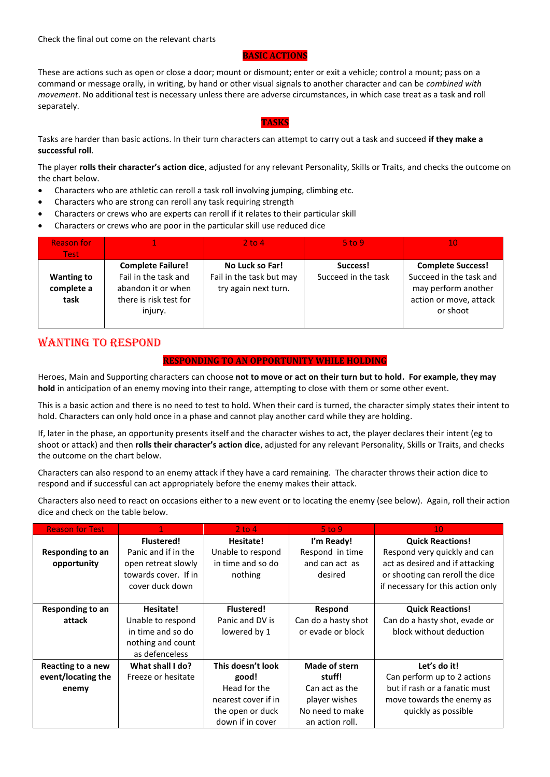Check the final out come on the relevant charts

#### **BASIC ACTIONS**

These are actions such as open or close a door; mount or dismount; enter or exit a vehicle; control a mount; pass on a command or message orally, in writing, by hand or other visual signals to another character and can be *combined with movement*. No additional test is necessary unless there are adverse circumstances, in which case treat as a task and roll separately.

#### **TASKS**

Tasks are harder than basic actions. In their turn characters can attempt to carry out a task and succeed **if they make a successful roll**.

The player **rolls their character's action dice**, adjusted for any relevant Personality, Skills or Traits, and checks the outcome on the chart below.

- Characters who are athletic can reroll a task roll involving jumping, climbing etc.
- Characters who are strong can reroll any task requiring strength
- Characters or crews who are experts can reroll if it relates to their particular skill
- Characters or crews who are poor in the particular skill use reduced dice

| <b>Reason for</b>  |                                                  | $2$ to 4                                    | $5$ to 9                        | 10                                                  |
|--------------------|--------------------------------------------------|---------------------------------------------|---------------------------------|-----------------------------------------------------|
| <b>Test</b>        |                                                  |                                             |                                 |                                                     |
| <b>Wanting to</b>  | <b>Complete Failure!</b><br>Fail in the task and | No Luck so Far!<br>Fail in the task but may | Success!<br>Succeed in the task | <b>Complete Success!</b><br>Succeed in the task and |
| complete a<br>task | abandon it or when<br>there is risk test for     | try again next turn.                        |                                 | may perform another<br>action or move, attack       |
|                    | injury.                                          |                                             |                                 | or shoot                                            |

# WANTING TO RESPOND

#### **RESPONDING TO AN OPPORTUNITY WHILE HOLDING**

Heroes, Main and Supporting characters can choose **not to move or act on their turn but to hold. For example, they may hold** in anticipation of an enemy moving into their range, attempting to close with them or some other event.

This is a basic action and there is no need to test to hold. When their card is turned, the character simply states their intent to hold. Characters can only hold once in a phase and cannot play another card while they are holding.

If, later in the phase, an opportunity presents itself and the character wishes to act, the player declares their intent (eg to shoot or attack) and then **rolls their character's action dice**, adjusted for any relevant Personality, Skills or Traits, and checks the outcome on the chart below.

Characters can also respond to an enemy attack if they have a card remaining. The character throws their action dice to respond and if successful can act appropriately before the enemy makes their attack.

Characters also need to react on occasions either to a new event or to locating the enemy (see below). Again, roll their action dice and check on the table below.

| <b>Reason for Test</b>  |                      | $2$ to 4            | 5 <sub>to</sub> 9   | 10                                |
|-------------------------|----------------------|---------------------|---------------------|-----------------------------------|
|                         | <b>Flustered!</b>    | Hesitate!           | I'm Ready!          | <b>Quick Reactions!</b>           |
| <b>Responding to an</b> | Panic and if in the  | Unable to respond   | Respond in time     | Respond very quickly and can      |
| opportunity             | open retreat slowly  | in time and so do   | and can act as      | act as desired and if attacking   |
|                         | towards cover. If in | nothing             | desired             | or shooting can reroll the dice   |
|                         | cover duck down      |                     |                     | if necessary for this action only |
|                         |                      |                     |                     |                                   |
| Responding to an        | Hesitate!            | <b>Flustered!</b>   | Respond             | <b>Quick Reactions!</b>           |
| attack                  | Unable to respond    | Panic and DV is     | Can do a hasty shot | Can do a hasty shot, evade or     |
|                         | in time and so do    | lowered by 1        | or evade or block   | block without deduction           |
|                         | nothing and count    |                     |                     |                                   |
|                         | as defenceless       |                     |                     |                                   |
| Reacting to a new       | What shall I do?     | This doesn't look   | Made of stern       | Let's do it!                      |
| event/locating the      | Freeze or hesitate   | good!               | stuff!              | Can perform up to 2 actions       |
| enemy                   |                      | Head for the        | Can act as the      | but if rash or a fanatic must     |
|                         |                      | nearest cover if in | player wishes       | move towards the enemy as         |
|                         |                      | the open or duck    | No need to make     | quickly as possible               |
|                         |                      | down if in cover    | an action roll.     |                                   |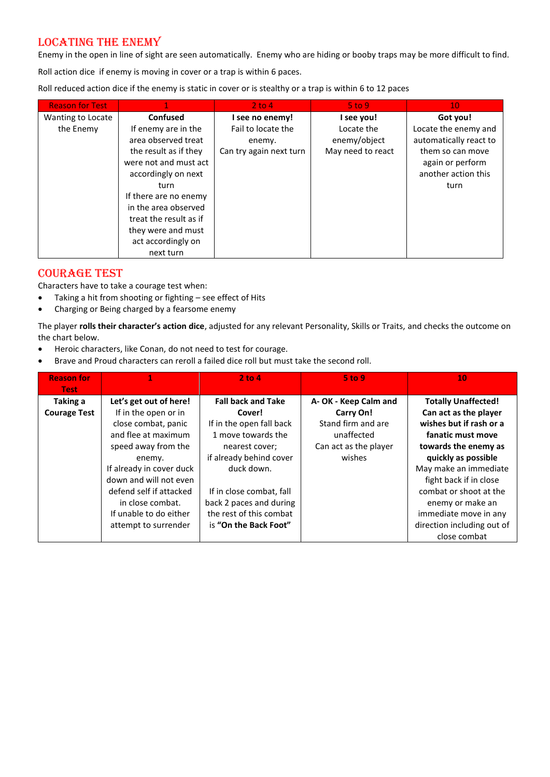# LOCATING THE ENEMY

Enemy in the open in line of sight are seen automatically. Enemy who are hiding or booby traps may be more difficult to find.

Roll action dice if enemy is moving in cover or a trap is within 6 paces.

Roll reduced action dice if the enemy is static in cover or is stealthy or a trap is within 6 to 12 paces

| <b>Reason for Test</b> |                        | $2$ to 4                | $5$ to 9.         | 10 <sup>°</sup>        |
|------------------------|------------------------|-------------------------|-------------------|------------------------|
| Wanting to Locate      | Confused               | I see no enemy!         | I see you!        | Got you!               |
| the Enemy              | If enemy are in the    | Fail to locate the      | Locate the        | Locate the enemy and   |
|                        | area observed treat    | enemy.                  | enemy/object      | automatically react to |
|                        | the result as if they  | Can try again next turn | May need to react | them so can move       |
|                        | were not and must act  |                         |                   | again or perform       |
|                        | accordingly on next    |                         |                   | another action this    |
|                        | turn                   |                         |                   | turn                   |
|                        | If there are no enemy  |                         |                   |                        |
|                        | in the area observed   |                         |                   |                        |
|                        | treat the result as if |                         |                   |                        |
|                        | they were and must     |                         |                   |                        |
|                        | act accordingly on     |                         |                   |                        |
|                        | next turn              |                         |                   |                        |

# COURAGE TEST

Characters have to take a courage test when:

- Taking a hit from shooting or fighting see effect of Hits
- Charging or Being charged by a fearsome enemy

The player **rolls their character's action dice**, adjusted for any relevant Personality, Skills or Traits, and checks the outcome on the chart below.

- Heroic characters, like Conan, do not need to test for courage.
- Brave and Proud characters can reroll a failed dice roll but must take the second roll.

| <b>Reason for</b>                              |                                                                                                                                                                                                                                                              | $2$ to $4$                                                                                                                                                                                                                         | $5$ to 9                                                                                                 | 10                                                                                                                                                                                                                                                                           |
|------------------------------------------------|--------------------------------------------------------------------------------------------------------------------------------------------------------------------------------------------------------------------------------------------------------------|------------------------------------------------------------------------------------------------------------------------------------------------------------------------------------------------------------------------------------|----------------------------------------------------------------------------------------------------------|------------------------------------------------------------------------------------------------------------------------------------------------------------------------------------------------------------------------------------------------------------------------------|
| <b>Test</b><br>Taking a<br><b>Courage Test</b> | Let's get out of here!<br>If in the open or in<br>close combat, panic<br>and flee at maximum<br>speed away from the<br>enemy.<br>If already in cover duck<br>down and will not even<br>defend self if attacked<br>in close combat.<br>If unable to do either | <b>Fall back and Take</b><br>Cover!<br>If in the open fall back<br>1 move towards the<br>nearest cover;<br>if already behind cover<br>duck down.<br>If in close combat, fall<br>back 2 paces and during<br>the rest of this combat | A-OK - Keep Calm and<br>Carry On!<br>Stand firm and are<br>unaffected<br>Can act as the player<br>wishes | <b>Totally Unaffected!</b><br>Can act as the player<br>wishes but if rash or a<br>fanatic must move<br>towards the enemy as<br>quickly as possible<br>May make an immediate<br>fight back if in close<br>combat or shoot at the<br>enemy or make an<br>immediate move in any |
|                                                | attempt to surrender                                                                                                                                                                                                                                         | is "On the Back Foot"                                                                                                                                                                                                              |                                                                                                          | direction including out of<br>close combat                                                                                                                                                                                                                                   |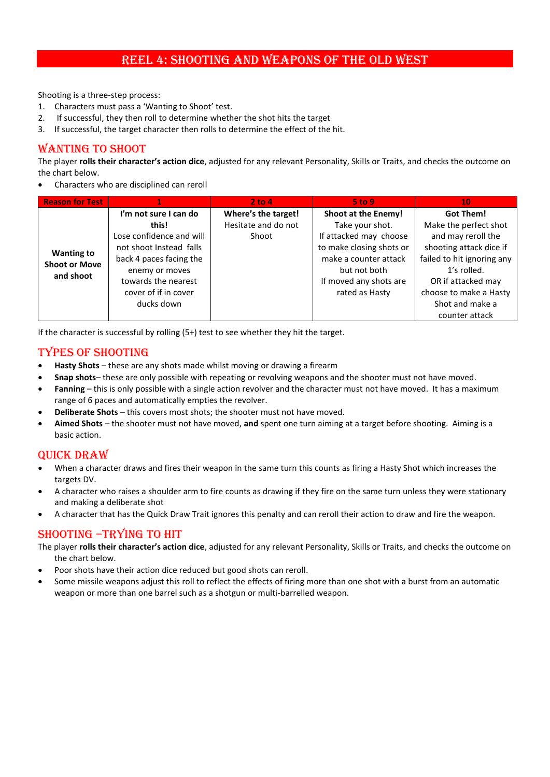# REEL 4: SHOOTING AND WEAPONS OF THE OLD WEST

Shooting is a three-step process:

- 1. Characters must pass a 'Wanting to Shoot' test.
- 2. If successful, they then roll to determine whether the shot hits the target
- 3. If successful, the target character then rolls to determine the effect of the hit.

## WANTING TO SHOOT

The player **rolls their character's action dice**, adjusted for any relevant Personality, Skills or Traits, and checks the outcome on the chart below.

• Characters who are disciplined can reroll

| <b>Reason for Test</b>                    |                          | 2 to 4              | $5$ to 9                 | 10                         |
|-------------------------------------------|--------------------------|---------------------|--------------------------|----------------------------|
|                                           | I'm not sure I can do    | Where's the target! | Shoot at the Enemy!      | <b>Got Them!</b>           |
|                                           | this!                    | Hesitate and do not | Take your shot.          | Make the perfect shot      |
|                                           | Lose confidence and will | Shoot               | If attacked may choose   | and may reroll the         |
|                                           | not shoot Instead falls  |                     | to make closing shots or | shooting attack dice if    |
| <b>Wanting to</b><br><b>Shoot or Move</b> | back 4 paces facing the  |                     | make a counter attack    | failed to hit ignoring any |
|                                           | enemy or moves           |                     | but not both             | 1's rolled.                |
| and shoot                                 | towards the nearest      |                     | If moved any shots are   | OR if attacked may         |
|                                           | cover of if in cover     |                     | rated as Hasty           | choose to make a Hasty     |
|                                           | ducks down               |                     |                          | Shot and make a            |
|                                           |                          |                     |                          | counter attack             |

If the character is successful by rolling (5+) test to see whether they hit the target.

## TYPES OF SHOOTING

- **Hasty Shots** these are any shots made whilst moving or drawing a firearm
- **Snap shots** these are only possible with repeating or revolving weapons and the shooter must not have moved.
- **Fanning** this is only possible with a single action revolver and the character must not have moved. It has a maximum range of 6 paces and automatically empties the revolver.
- **Deliberate Shots** this covers most shots; the shooter must not have moved.
- **Aimed Shots** the shooter must not have moved, **and** spent one turn aiming at a target before shooting. Aiming is a basic action.

## Quick draw

- When a character draws and fires their weapon in the same turn this counts as firing a Hasty Shot which increases the targets DV.
- A character who raises a shoulder arm to fire counts as drawing if they fire on the same turn unless they were stationary and making a deliberate shot
- A character that has the Quick Draw Trait ignores this penalty and can reroll their action to draw and fire the weapon.

## SHOOTING –TRYING TO HIT

- The player **rolls their character's action dice**, adjusted for any relevant Personality, Skills or Traits, and checks the outcome on the chart below.
- Poor shots have their action dice reduced but good shots can reroll.
- Some missile weapons adjust this roll to reflect the effects of firing more than one shot with a burst from an automatic weapon or more than one barrel such as a shotgun or multi-barrelled weapon.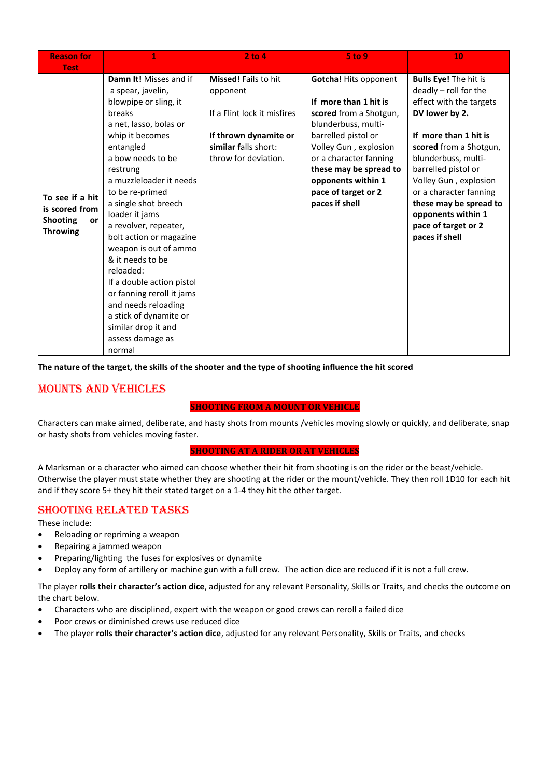| <b>Reason for</b><br><b>Test</b>                                              | 1                                                                                                                                                                                                                                                                                                                                                                                                                                                                                                                                               | $2$ to $4$                                                                                                                                      | <b>5 to 9</b>                                                                                                                                                                                                                                                             | 10                                                                                                                                                                                                                                                                                                                                              |
|-------------------------------------------------------------------------------|-------------------------------------------------------------------------------------------------------------------------------------------------------------------------------------------------------------------------------------------------------------------------------------------------------------------------------------------------------------------------------------------------------------------------------------------------------------------------------------------------------------------------------------------------|-------------------------------------------------------------------------------------------------------------------------------------------------|---------------------------------------------------------------------------------------------------------------------------------------------------------------------------------------------------------------------------------------------------------------------------|-------------------------------------------------------------------------------------------------------------------------------------------------------------------------------------------------------------------------------------------------------------------------------------------------------------------------------------------------|
| To see if a hit<br>is scored from<br><b>Shooting</b><br>or<br><b>Throwing</b> | Damn It! Misses and if<br>a spear, javelin,<br>blowpipe or sling, it<br>breaks<br>a net, lasso, bolas or<br>whip it becomes<br>entangled<br>a bow needs to be<br>restrung<br>a muzzleloader it needs<br>to be re-primed<br>a single shot breech<br>loader it jams<br>a revolver, repeater,<br>bolt action or magazine<br>weapon is out of ammo<br>& it needs to be<br>reloaded:<br>If a double action pistol<br>or fanning reroll it jams<br>and needs reloading<br>a stick of dynamite or<br>similar drop it and<br>assess damage as<br>normal | <b>Missed!</b> Fails to hit<br>opponent<br>If a Flint lock it misfires<br>If thrown dynamite or<br>similar falls short:<br>throw for deviation. | <b>Gotcha! Hits opponent</b><br>If more than 1 hit is<br>scored from a Shotgun,<br>blunderbuss, multi-<br>barrelled pistol or<br>Volley Gun, explosion<br>or a character fanning<br>these may be spread to<br>opponents within 1<br>pace of target or 2<br>paces if shell | <b>Bulls Eye! The hit is</b><br>deadly - roll for the<br>effect with the targets<br>DV lower by 2.<br>If more than 1 hit is<br>scored from a Shotgun,<br>blunderbuss, multi-<br>barrelled pistol or<br>Volley Gun, explosion<br>or a character fanning<br>these may be spread to<br>opponents within 1<br>pace of target or 2<br>paces if shell |

**The nature of the target, the skills of the shooter and the type of shooting influence the hit scored** 

# MOUNTS AND VEHICLES

#### **SHOOTING FROM A MOUNT OR VEHICLE**

Characters can make aimed, deliberate, and hasty shots from mounts /vehicles moving slowly or quickly, and deliberate, snap or hasty shots from vehicles moving faster.

#### **SHOOTING AT A RIDER OR AT VEHICLES**

A Marksman or a character who aimed can choose whether their hit from shooting is on the rider or the beast/vehicle. Otherwise the player must state whether they are shooting at the rider or the mount/vehicle. They then roll 1D10 for each hit and if they score 5+ they hit their stated target on a 1-4 they hit the other target.

## SHOOTING RELATED TASKS

These include:

- Reloading or repriming a weapon
- Repairing a jammed weapon
- Preparing/lighting the fuses for explosives or dynamite
- Deploy any form of artillery or machine gun with a full crew. The action dice are reduced if it is not a full crew.

The player **rolls their character's action dice**, adjusted for any relevant Personality, Skills or Traits, and checks the outcome on the chart below.

- Characters who are disciplined, expert with the weapon or good crews can reroll a failed dice
- Poor crews or diminished crews use reduced dice
- The player **rolls their character's action dice**, adjusted for any relevant Personality, Skills or Traits, and checks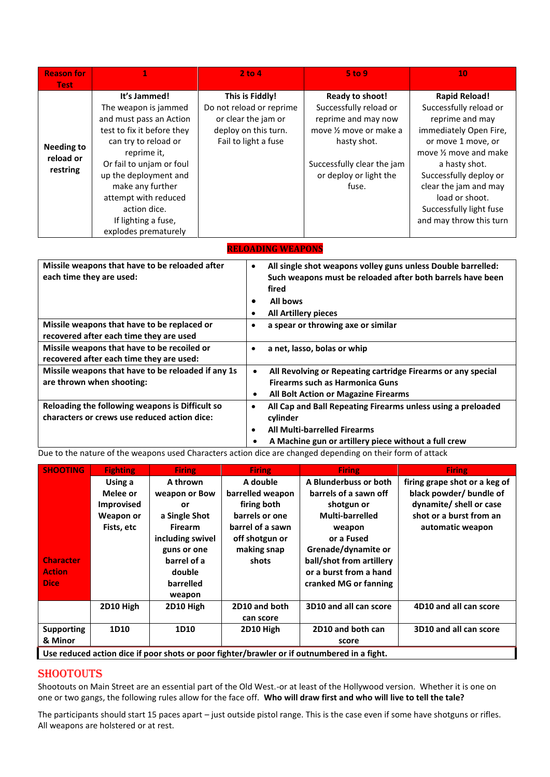| <b>Reason for</b><br><b>Test</b>           |                                                                                                                                                                                                                                                                                                      | 2 to 4                                                                                                             | 5 <sub>to</sub> 9                                                                                                                                                           | 10                                                                                                                                                                                                                                                                                      |
|--------------------------------------------|------------------------------------------------------------------------------------------------------------------------------------------------------------------------------------------------------------------------------------------------------------------------------------------------------|--------------------------------------------------------------------------------------------------------------------|-----------------------------------------------------------------------------------------------------------------------------------------------------------------------------|-----------------------------------------------------------------------------------------------------------------------------------------------------------------------------------------------------------------------------------------------------------------------------------------|
| <b>Needing to</b><br>reload or<br>restring | It's Jammed!<br>The weapon is jammed<br>and must pass an Action<br>test to fix it before they<br>can try to reload or<br>reprime it,<br>Or fail to unjam or foul<br>up the deployment and<br>make any further<br>attempt with reduced<br>action dice.<br>If lighting a fuse,<br>explodes prematurely | This is Fiddly!<br>Do not reload or reprime<br>or clear the jam or<br>deploy on this turn.<br>Fail to light a fuse | Ready to shoot!<br>Successfully reload or<br>reprime and may now<br>move 1/2 move or make a<br>hasty shot.<br>Successfully clear the jam<br>or deploy or light the<br>fuse. | <b>Rapid Reload!</b><br>Successfully reload or<br>reprime and may<br>immediately Open Fire,<br>or move 1 move, or<br>move 1/2 move and make<br>a hasty shot.<br>Successfully deploy or<br>clear the jam and may<br>load or shoot.<br>Successfully light fuse<br>and may throw this turn |

| <b>RELOADING WEAPONS</b> |  |
|--------------------------|--|
|                          |  |

| Missile weapons that have to be reloaded after<br>each time they are used:                      | All single shot weapons volley guns unless Double barrelled:<br>$\bullet$<br>Such weapons must be reloaded after both barrels have been<br>fired<br>All bows<br><b>All Artillery pieces</b> |
|-------------------------------------------------------------------------------------------------|---------------------------------------------------------------------------------------------------------------------------------------------------------------------------------------------|
| Missile weapons that have to be replaced or<br>recovered after each time they are used          | a spear or throwing axe or similar                                                                                                                                                          |
| Missile weapons that have to be recoiled or<br>recovered after each time they are used:         | a net, lasso, bolas or whip                                                                                                                                                                 |
| Missile weapons that have to be reloaded if any 1s<br>are thrown when shooting:                 | All Revolving or Repeating cartridge Firearms or any special<br>$\bullet$<br><b>Firearms such as Harmonica Guns</b><br><b>All Bolt Action or Magazine Firearms</b><br>٠                     |
| Reloading the following weapons is Difficult so<br>characters or crews use reduced action dice: | All Cap and Ball Repeating Firearms unless using a preloaded<br>cylinder<br><b>All Multi-barrelled Firearms</b><br>A Machine gun or artillery piece without a full crew                     |

Due to the nature of the weapons used Characters action dice are changed depending on their form of attack

| <b>SHOOTING</b>   | <b>Fighting</b>   | <b>Firing</b>    | <b>Firing</b>    | <b>Firing</b>                                                                               | <b>Firing</b>                 |
|-------------------|-------------------|------------------|------------------|---------------------------------------------------------------------------------------------|-------------------------------|
|                   | Using a           | A thrown         | A double         | A Blunderbuss or both                                                                       | firing grape shot or a keg of |
|                   | Melee or          | weapon or Bow    | barrelled weapon | barrels of a sawn off                                                                       | black powder/ bundle of       |
|                   | <b>Improvised</b> | or               | firing both      | shotgun or                                                                                  | dynamite/ shell or case       |
|                   | Weapon or         | a Single Shot    | barrels or one   | <b>Multi-barrelled</b>                                                                      | shot or a burst from an       |
|                   | Fists, etc        | <b>Firearm</b>   | barrel of a sawn | weapon                                                                                      | automatic weapon              |
|                   |                   | including swivel | off shotgun or   | or a Fused                                                                                  |                               |
|                   |                   | guns or one      | making snap      | Grenade/dynamite or                                                                         |                               |
| <b>Character</b>  |                   | barrel of a      | shots            | ball/shot from artillery                                                                    |                               |
| <b>Action</b>     |                   | double           |                  | or a burst from a hand                                                                      |                               |
| <b>Dice</b>       |                   | barrelled        |                  | cranked MG or fanning                                                                       |                               |
|                   |                   | weapon           |                  |                                                                                             |                               |
|                   | 2D10 High         | 2D10 High        | 2D10 and both    | 3D10 and all can score                                                                      | 4D10 and all can score        |
|                   |                   |                  | can score        |                                                                                             |                               |
| <b>Supporting</b> | 1D10              | 1D10             | 2D10 High        | 2D10 and both can                                                                           | 3D10 and all can score        |
| & Minor           |                   |                  |                  | score                                                                                       |                               |
|                   |                   |                  |                  | Use reduced action dice if poor shots or poor fighter/brawler or if outnumbered in a fight. |                               |

**SHOOTOUTS** 

Shootouts on Main Street are an essential part of the Old West.-or at least of the Hollywood version. Whether it is one on one or two gangs, the following rules allow for the face off. **Who will draw first and who will live to tell the tale?**

The participants should start 15 paces apart – just outside pistol range. This is the case even if some have shotguns or rifles. All weapons are holstered or at rest.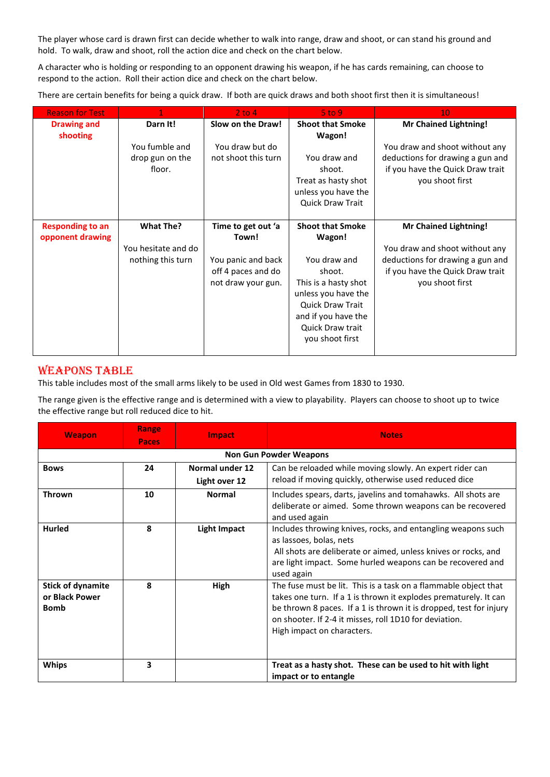The player whose card is drawn first can decide whether to walk into range, draw and shoot, or can stand his ground and hold. To walk, draw and shoot, roll the action dice and check on the chart below.

A character who is holding or responding to an opponent drawing his weapon, if he has cards remaining, can choose to respond to the action. Roll their action dice and check on the chart below.

There are certain benefits for being a quick draw. If both are quick draws and both shoot first then it is simultaneous!

| <b>Reason for Test</b>  |                     | $2$ to 4            | $5$ to $9$              | 10                               |
|-------------------------|---------------------|---------------------|-------------------------|----------------------------------|
| <b>Drawing and</b>      | Darn It!            | Slow on the Draw!   | <b>Shoot that Smoke</b> | <b>Mr Chained Lightning!</b>     |
| shooting                |                     |                     | Wagon!                  |                                  |
|                         | You fumble and      | You draw but do     |                         | You draw and shoot without any   |
|                         | drop gun on the     | not shoot this turn | You draw and            | deductions for drawing a gun and |
|                         | floor.              |                     | shoot.                  | if you have the Quick Draw trait |
|                         |                     |                     | Treat as hasty shot     | you shoot first                  |
|                         |                     |                     | unless you have the     |                                  |
|                         |                     |                     | Quick Draw Trait        |                                  |
|                         |                     |                     |                         |                                  |
| <b>Responding to an</b> | <b>What The?</b>    | Time to get out 'a  | <b>Shoot that Smoke</b> | <b>Mr Chained Lightning!</b>     |
| opponent drawing        |                     | Town!               | Wagon!                  |                                  |
|                         | You hesitate and do |                     |                         | You draw and shoot without any   |
|                         | nothing this turn   | You panic and back  | You draw and            | deductions for drawing a gun and |
|                         |                     | off 4 paces and do  | shoot.                  | if you have the Quick Draw trait |
|                         |                     | not draw your gun.  | This is a hasty shot    | you shoot first                  |
|                         |                     |                     | unless you have the     |                                  |
|                         |                     |                     | <b>Quick Draw Trait</b> |                                  |
|                         |                     |                     | and if you have the     |                                  |
|                         |                     |                     | <b>Quick Draw trait</b> |                                  |
|                         |                     |                     | you shoot first         |                                  |
|                         |                     |                     |                         |                                  |

## WEAPONS TABLE

This table includes most of the small arms likely to be used in Old west Games from 1830 to 1930.

The range given is the effective range and is determined with a view to playability. Players can choose to shoot up to twice the effective range but roll reduced dice to hit.

| <b>Weapon</b>                                             | Range<br>Paces | <b>Impact</b>       | <b>Notes</b>                                                                                                                                                                                                                                                                                      |
|-----------------------------------------------------------|----------------|---------------------|---------------------------------------------------------------------------------------------------------------------------------------------------------------------------------------------------------------------------------------------------------------------------------------------------|
|                                                           |                |                     | <b>Non Gun Powder Weapons</b>                                                                                                                                                                                                                                                                     |
| <b>Bows</b>                                               | 24             | Normal under 12     | Can be reloaded while moving slowly. An expert rider can                                                                                                                                                                                                                                          |
|                                                           |                | Light over 12       | reload if moving quickly, otherwise used reduced dice                                                                                                                                                                                                                                             |
| <b>Thrown</b>                                             | 10             | <b>Normal</b>       | Includes spears, darts, javelins and tomahawks. All shots are<br>deliberate or aimed. Some thrown weapons can be recovered<br>and used again                                                                                                                                                      |
| <b>Hurled</b>                                             | 8              | <b>Light Impact</b> | Includes throwing knives, rocks, and entangling weapons such<br>as lassoes, bolas, nets<br>All shots are deliberate or aimed, unless knives or rocks, and<br>are light impact. Some hurled weapons can be recovered and<br>used again                                                             |
| <b>Stick of dynamite</b><br>or Black Power<br><b>Bomb</b> | $\mathbf{R}$   | High                | The fuse must be lit. This is a task on a flammable object that<br>takes one turn. If a 1 is thrown it explodes prematurely. It can<br>be thrown 8 paces. If a 1 is thrown it is dropped, test for injury<br>on shooter. If 2-4 it misses, roll 1D10 for deviation.<br>High impact on characters. |
| <b>Whips</b>                                              | 3              |                     | Treat as a hasty shot. These can be used to hit with light<br>impact or to entangle                                                                                                                                                                                                               |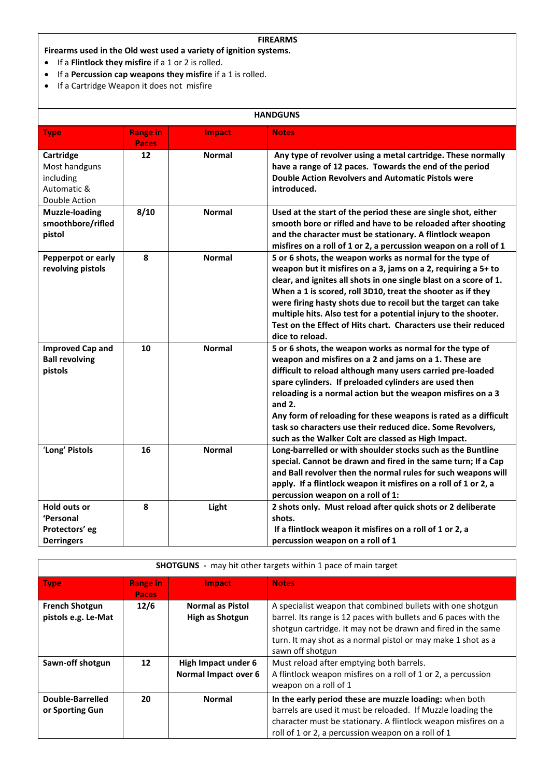#### **FIREARMS**

**Firearms used in the Old west used a variety of ignition systems.** 

- If a **Flintlock they misfire** if a 1 or 2 is rolled.
- If a **Percussion cap weapons they misfire** if a 1 is rolled.
- If a Cartridge Weapon it does not misfire

| <b>HANDGUNS</b>                                                         |                                 |               |                                                                                                                                                                                                                                                                                                                                                                                                                                                                                                             |
|-------------------------------------------------------------------------|---------------------------------|---------------|-------------------------------------------------------------------------------------------------------------------------------------------------------------------------------------------------------------------------------------------------------------------------------------------------------------------------------------------------------------------------------------------------------------------------------------------------------------------------------------------------------------|
| <b>Type</b>                                                             | <b>Range in</b><br><b>Paces</b> | Impact        | <b>Notes</b>                                                                                                                                                                                                                                                                                                                                                                                                                                                                                                |
| Cartridge<br>Most handguns<br>including<br>Automatic &<br>Double Action | 12                              | <b>Normal</b> | Any type of revolver using a metal cartridge. These normally<br>have a range of 12 paces. Towards the end of the period<br><b>Double Action Revolvers and Automatic Pistols were</b><br>introduced.                                                                                                                                                                                                                                                                                                         |
| <b>Muzzle-loading</b><br>smoothbore/rifled<br>pistol                    | 8/10                            | <b>Normal</b> | Used at the start of the period these are single shot, either<br>smooth bore or rifled and have to be reloaded after shooting<br>and the character must be stationary. A flintlock weapon<br>misfires on a roll of 1 or 2, a percussion weapon on a roll of 1                                                                                                                                                                                                                                               |
| Pepperpot or early<br>revolving pistols                                 | 8                               | <b>Normal</b> | 5 or 6 shots, the weapon works as normal for the type of<br>weapon but it misfires on a 3, jams on a 2, requiring a 5+ to<br>clear, and ignites all shots in one single blast on a score of 1.<br>When a 1 is scored, roll 3D10, treat the shooter as if they<br>were firing hasty shots due to recoil but the target can take<br>multiple hits. Also test for a potential injury to the shooter.<br>Test on the Effect of Hits chart. Characters use their reduced<br>dice to reload.                      |
| <b>Improved Cap and</b><br><b>Ball revolving</b><br>pistols             | 10                              | <b>Normal</b> | 5 or 6 shots, the weapon works as normal for the type of<br>weapon and misfires on a 2 and jams on a 1. These are<br>difficult to reload although many users carried pre-loaded<br>spare cylinders. If preloaded cylinders are used then<br>reloading is a normal action but the weapon misfires on a 3<br>and $2.$<br>Any form of reloading for these weapons is rated as a difficult<br>task so characters use their reduced dice. Some Revolvers,<br>such as the Walker Colt are classed as High Impact. |
| 'Long' Pistols                                                          | 16                              | <b>Normal</b> | Long-barrelled or with shoulder stocks such as the Buntline<br>special. Cannot be drawn and fired in the same turn; If a Cap<br>and Ball revolver then the normal rules for such weapons will<br>apply. If a flintlock weapon it misfires on a roll of 1 or 2, a<br>percussion weapon on a roll of 1:                                                                                                                                                                                                       |
| <b>Hold outs or</b><br>'Personal<br>Protectors' eg<br><b>Derringers</b> | 8                               | Light         | 2 shots only. Must reload after quick shots or 2 deliberate<br>shots.<br>If a flintlock weapon it misfires on a roll of 1 or 2, a<br>percussion weapon on a roll of 1                                                                                                                                                                                                                                                                                                                                       |

| <b>SHOTGUNS</b> - may hit other targets within 1 pace of main target |                                 |                                                   |                                                                                                                                                                                                                                                                                   |  |
|----------------------------------------------------------------------|---------------------------------|---------------------------------------------------|-----------------------------------------------------------------------------------------------------------------------------------------------------------------------------------------------------------------------------------------------------------------------------------|--|
| <b>Type</b>                                                          | <b>Range in</b><br><b>Paces</b> | <b>Impact</b>                                     | <b>Notes</b>                                                                                                                                                                                                                                                                      |  |
| <b>French Shotgun</b><br>pistols e.g. Le-Mat                         | 12/6                            | <b>Normal as Pistol</b><br><b>High as Shotgun</b> | A specialist weapon that combined bullets with one shotgun<br>barrel. Its range is 12 paces with bullets and 6 paces with the<br>shotgun cartridge. It may not be drawn and fired in the same<br>turn. It may shot as a normal pistol or may make 1 shot as a<br>sawn off shotgun |  |
| Sawn-off shotgun                                                     | 12                              | High Impact under 6<br>Normal Impact over 6       | Must reload after emptying both barrels.<br>A flintlock weapon misfires on a roll of 1 or 2, a percussion<br>weapon on a roll of 1                                                                                                                                                |  |
| Double-Barrelled<br>or Sporting Gun                                  | 20                              | <b>Normal</b>                                     | In the early period these are muzzle loading: when both<br>barrels are used it must be reloaded. If Muzzle loading the<br>character must be stationary. A flintlock weapon misfires on a<br>roll of 1 or 2, a percussion weapon on a roll of 1                                    |  |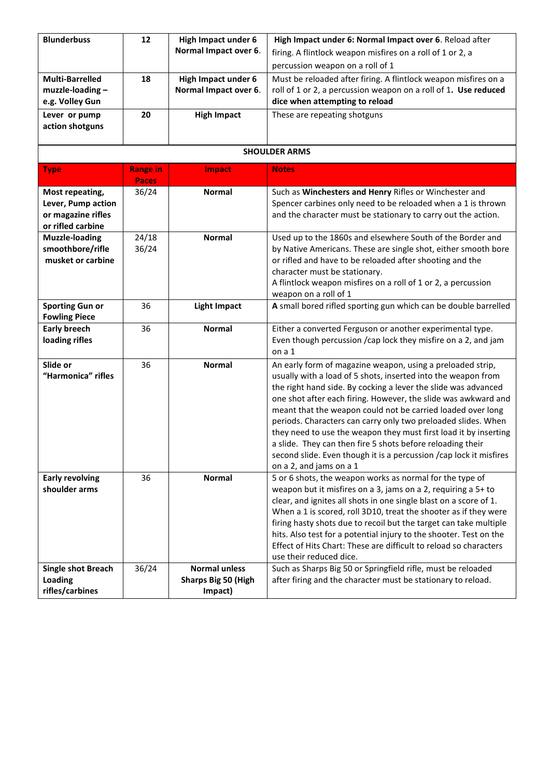| <b>Blunderbuss</b>                                                               | 12                       | High Impact under 6<br>Normal Impact over 6.                  | High Impact under 6: Normal Impact over 6. Reload after<br>firing. A flintlock weapon misfires on a roll of 1 or 2, a<br>percussion weapon on a roll of 1                                                                                                                                                                                                                                                                                                                                                                                                                                                                          |
|----------------------------------------------------------------------------------|--------------------------|---------------------------------------------------------------|------------------------------------------------------------------------------------------------------------------------------------------------------------------------------------------------------------------------------------------------------------------------------------------------------------------------------------------------------------------------------------------------------------------------------------------------------------------------------------------------------------------------------------------------------------------------------------------------------------------------------------|
| <b>Multi-Barrelled</b><br>muzzle-loading-<br>e.g. Volley Gun                     | 18                       | High Impact under 6<br>Normal Impact over 6.                  | Must be reloaded after firing. A flintlock weapon misfires on a<br>roll of 1 or 2, a percussion weapon on a roll of 1. Use reduced<br>dice when attempting to reload                                                                                                                                                                                                                                                                                                                                                                                                                                                               |
| Lever or pump<br>action shotguns                                                 | 20                       | <b>High Impact</b>                                            | These are repeating shotguns                                                                                                                                                                                                                                                                                                                                                                                                                                                                                                                                                                                                       |
|                                                                                  |                          |                                                               | <b>SHOULDER ARMS</b>                                                                                                                                                                                                                                                                                                                                                                                                                                                                                                                                                                                                               |
| <b>Type</b>                                                                      | <b>Range in</b><br>Paces | Impact                                                        | <b>Notes</b>                                                                                                                                                                                                                                                                                                                                                                                                                                                                                                                                                                                                                       |
| Most repeating,<br>Lever, Pump action<br>or magazine rifles<br>or rifled carbine | 36/24                    | <b>Normal</b>                                                 | Such as Winchesters and Henry Rifles or Winchester and<br>Spencer carbines only need to be reloaded when a 1 is thrown<br>and the character must be stationary to carry out the action.                                                                                                                                                                                                                                                                                                                                                                                                                                            |
| <b>Muzzle-loading</b><br>smoothbore/rifle<br>musket or carbine                   | 24/18<br>36/24           | <b>Normal</b>                                                 | Used up to the 1860s and elsewhere South of the Border and<br>by Native Americans. These are single shot, either smooth bore<br>or rifled and have to be reloaded after shooting and the<br>character must be stationary.<br>A flintlock weapon misfires on a roll of 1 or 2, a percussion<br>weapon on a roll of 1                                                                                                                                                                                                                                                                                                                |
| <b>Sporting Gun or</b><br><b>Fowling Piece</b>                                   | 36                       | <b>Light Impact</b>                                           | A small bored rifled sporting gun which can be double barrelled                                                                                                                                                                                                                                                                                                                                                                                                                                                                                                                                                                    |
| <b>Early breech</b><br>loading rifles                                            | 36                       | <b>Normal</b>                                                 | Either a converted Ferguson or another experimental type.<br>Even though percussion / cap lock they misfire on a 2, and jam<br>on a 1                                                                                                                                                                                                                                                                                                                                                                                                                                                                                              |
| Slide or<br>"Harmonica" rifles                                                   | 36                       | <b>Normal</b>                                                 | An early form of magazine weapon, using a preloaded strip,<br>usually with a load of 5 shots, inserted into the weapon from<br>the right hand side. By cocking a lever the slide was advanced<br>one shot after each firing. However, the slide was awkward and<br>meant that the weapon could not be carried loaded over long<br>periods. Characters can carry only two preloaded slides. When<br>they need to use the weapon they must first load it by inserting<br>a slide. They can then fire 5 shots before reloading their<br>second slide. Even though it is a percussion /cap lock it misfires<br>on a 2, and jams on a 1 |
| <b>Early revolving</b><br>shoulder arms                                          | 36                       | <b>Normal</b>                                                 | 5 or 6 shots, the weapon works as normal for the type of<br>weapon but it misfires on a 3, jams on a 2, requiring a 5+ to<br>clear, and ignites all shots in one single blast on a score of 1.<br>When a 1 is scored, roll 3D10, treat the shooter as if they were<br>firing hasty shots due to recoil but the target can take multiple<br>hits. Also test for a potential injury to the shooter. Test on the<br>Effect of Hits Chart: These are difficult to reload so characters<br>use their reduced dice.                                                                                                                      |
| <b>Single shot Breach</b><br>Loading<br>rifles/carbines                          | 36/24                    | <b>Normal unless</b><br><b>Sharps Big 50 (High</b><br>Impact) | Such as Sharps Big 50 or Springfield rifle, must be reloaded<br>after firing and the character must be stationary to reload.                                                                                                                                                                                                                                                                                                                                                                                                                                                                                                       |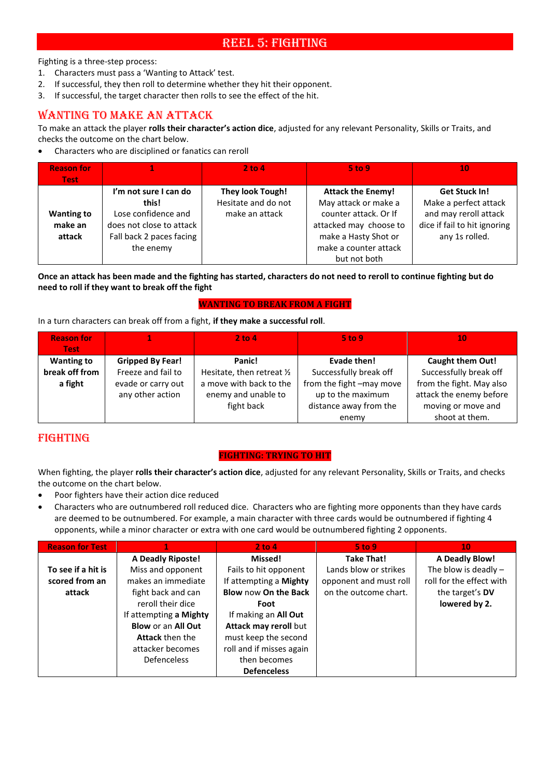# REEL 5: FIGHTING

Fighting is a three-step process:

- 1. Characters must pass a 'Wanting to Attack' test.
- 2. If successful, they then roll to determine whether they hit their opponent.
- 3. If successful, the target character then rolls to see the effect of the hit.

# WANTING TO MAKE AN ATTACK

To make an attack the player **rolls their character's action dice**, adjusted for any relevant Personality, Skills or Traits, and checks the outcome on the chart below.

• Characters who are disciplined or fanatics can reroll

| <b>Reason for</b><br><b>Test</b> |                          | $2$ to 4                | $5$ to 9                 | 10                           |
|----------------------------------|--------------------------|-------------------------|--------------------------|------------------------------|
|                                  | I'm not sure I can do    | <b>They look Tough!</b> | <b>Attack the Enemy!</b> | <b>Get Stuck In!</b>         |
|                                  | this!                    | Hesitate and do not     | May attack or make a     | Make a perfect attack        |
| <b>Wanting to</b>                | Lose confidence and      | make an attack          | counter attack. Or If    | and may reroll attack        |
| make an                          | does not close to attack |                         | attacked may choose to   | dice if fail to hit ignoring |
| attack                           | Fall back 2 paces facing |                         | make a Hasty Shot or     | any 1s rolled.               |
|                                  | the enemy                |                         | make a counter attack    |                              |
|                                  |                          |                         | but not both             |                              |

**Once an attack has been made and the fighting has started, characters do not need to reroll to continue fighting but do need to roll if they want to break off the fight** 

#### **WANTING TO BREAK FROM A FIGHT**

In a turn characters can break off from a fight, **if they make a successful roll**.

| <b>Reason for</b> |                         | $2$ to 4                   | $5$ to 9                 | 10                       |
|-------------------|-------------------------|----------------------------|--------------------------|--------------------------|
| <b>Test</b>       |                         |                            |                          |                          |
| <b>Wanting to</b> | <b>Gripped By Fear!</b> | Panic!                     | Evade then!              | Caught them Out!         |
| break off from    | Freeze and fail to      | Hesitate, then retreat 1/2 | Successfully break off   | Successfully break off   |
| a fight           | evade or carry out      | a move with back to the    | from the fight -may move | from the fight. May also |
|                   | any other action        | enemy and unable to        | up to the maximum        | attack the enemy before  |
|                   |                         | fight back                 | distance away from the   | moving or move and       |
|                   |                         |                            | enemy                    | shoot at them.           |

# FIGHTING

#### **FIGHTING: TRYING TO HIT**

When fighting, the player **rolls their character's action dice**, adjusted for any relevant Personality, Skills or Traits, and checks the outcome on the chart below.

- Poor fighters have their action dice reduced
- Characters who are outnumbered roll reduced dice. Characters who are fighting more opponents than they have cards are deemed to be outnumbered. For example, a main character with three cards would be outnumbered if fighting 4 opponents, while a minor character or extra with one card would be outnumbered fighting 2 opponents.

| <b>Reason for Test</b> |                           | 2 to 4                   | 5 to 9                 | 10                       |
|------------------------|---------------------------|--------------------------|------------------------|--------------------------|
|                        | <b>A Deadly Riposte!</b>  | Missed!                  | <b>Take That!</b>      | <b>A Deadly Blow!</b>    |
| To see if a hit is     | Miss and opponent         | Fails to hit opponent    | Lands blow or strikes  | The blow is deadly $-$   |
| scored from an         | makes an immediate        | If attempting a Mighty   | opponent and must roll | roll for the effect with |
| attack                 | fight back and can        | Blow now On the Back     | on the outcome chart.  | the target's DV          |
|                        | reroll their dice         | Foot                     |                        | lowered by 2.            |
|                        | If attempting a Mighty    | If making an All Out     |                        |                          |
|                        | <b>Blow or an All Out</b> | Attack may reroll but    |                        |                          |
|                        | <b>Attack then the</b>    | must keep the second     |                        |                          |
|                        | attacker becomes          | roll and if misses again |                        |                          |
|                        | <b>Defenceless</b>        | then becomes             |                        |                          |
|                        |                           | <b>Defenceless</b>       |                        |                          |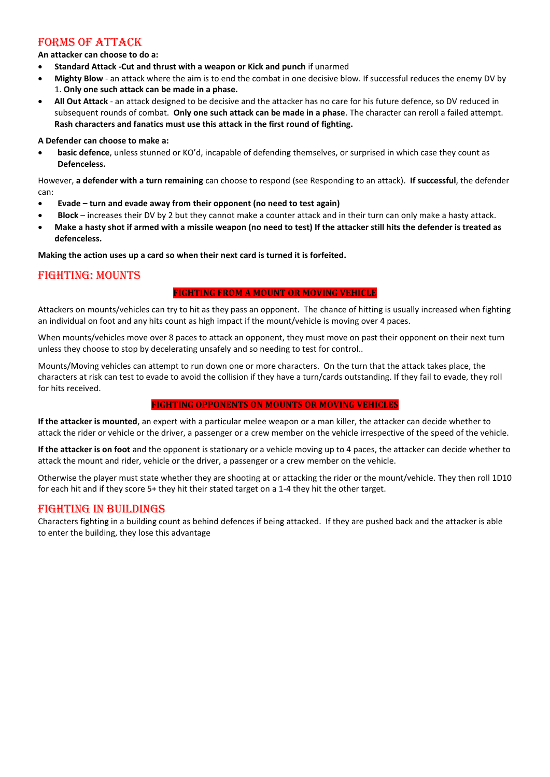## FORMS OF ATTACK

**An attacker can choose to do a:**

- **Standard Attack -Cut and thrust with a weapon or Kick and punch** if unarmed
- **Mighty Blow** an attack where the aim is to end the combat in one decisive blow. If successful reduces the enemy DV by 1. **Only one such attack can be made in a phase.**
- **All Out Attack** an attack designed to be decisive and the attacker has no care for his future defence, so DV reduced in subsequent rounds of combat. **Only one such attack can be made in a phase**. The character can reroll a failed attempt. **Rash characters and fanatics must use this attack in the first round of fighting.**

#### **A Defender can choose to make a:**

• **basic defence**, unless stunned or KO'd, incapable of defending themselves, or surprised in which case they count as **Defenceless.**

However, **a defender with a turn remaining** can choose to respond (see Responding to an attack). **If successful**, the defender can:

- **Evade – turn and evade away from their opponent (no need to test again)**
- **Block**  increases their DV by 2 but they cannot make a counter attack and in their turn can only make a hasty attack.
- **Make a hasty shot if armed with a missile weapon (no need to test) If the attacker still hits the defender is treated as defenceless.**

**Making the action uses up a card so when their next card is turned it is forfeited.**

## FIGHTING: MOUNTS

#### **FIGHTING FROM A MOUNT OR MOVING VEHICLE**

Attackers on mounts/vehicles can try to hit as they pass an opponent. The chance of hitting is usually increased when fighting an individual on foot and any hits count as high impact if the mount/vehicle is moving over 4 paces.

When mounts/vehicles move over 8 paces to attack an opponent, they must move on past their opponent on their next turn unless they choose to stop by decelerating unsafely and so needing to test for control..

Mounts/Moving vehicles can attempt to run down one or more characters. On the turn that the attack takes place, the characters at risk can test to evade to avoid the collision if they have a turn/cards outstanding. If they fail to evade, they roll for hits received.

#### **FIGHTING OPPONENTS ON MOUNTS OR MOVING VEHICLES**

**If the attacker is mounted**, an expert with a particular melee weapon or a man killer, the attacker can decide whether to attack the rider or vehicle or the driver, a passenger or a crew member on the vehicle irrespective of the speed of the vehicle.

**If the attacker is on foot** and the opponent is stationary or a vehicle moving up to 4 paces, the attacker can decide whether to attack the mount and rider, vehicle or the driver, a passenger or a crew member on the vehicle.

Otherwise the player must state whether they are shooting at or attacking the rider or the mount/vehicle. They then roll 1D10 for each hit and if they score 5+ they hit their stated target on a 1-4 they hit the other target.

#### FIGHTING IN BUILDINGS

Characters fighting in a building count as behind defences if being attacked. If they are pushed back and the attacker is able to enter the building, they lose this advantage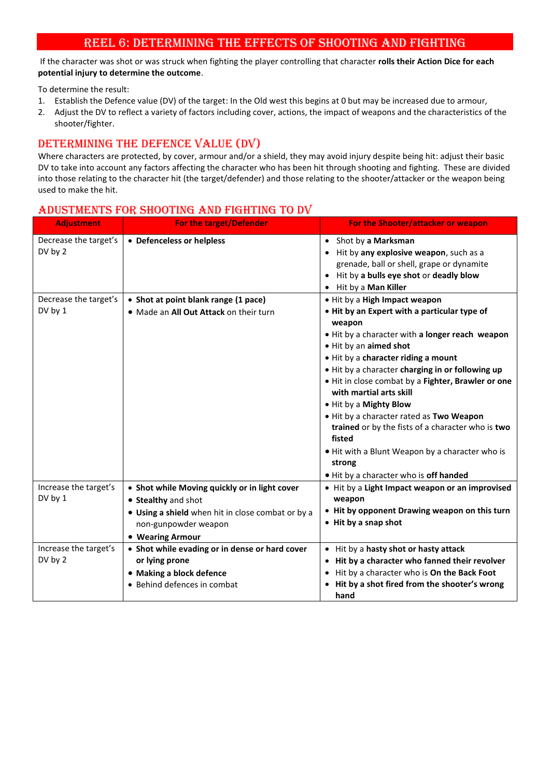# REEL 6: DETERMINING THE EFFECTS OF SHOOTING AND FIGHTING

If the character was shot or was struck when fighting the player controlling that character **rolls their Action Dice for each potential injury to determine the outcome**.

To determine the result:

- 1. Establish the Defence value (DV) of the target: In the Old west this begins at 0 but may be increased due to armour,
- 2. Adjust the DV to reflect a variety of factors including cover, actions, the impact of weapons and the characteristics of the shooter/fighter.

# DETERMINING THE DEFENCE VALUE (DV)

Where characters are protected, by cover, armour and/or a shield, they may avoid injury despite being hit: adjust their basic DV to take into account any factors affecting the character who has been hit through shooting and fighting. These are divided into those relating to the character hit (the target/defender) and those relating to the shooter/attacker or the weapon being used to make the hit.

#### **Adjustment For the target/Defender For the Shooter/attacker or weapon** Decrease the target's DV by 2 • **Defenceless or helpless** • Shot by **a Marksman** • Hit by **any explosive weapon**, such as a grenade, ball or shell, grape or dynamite • Hit by **a bulls eye shot** or **deadly blow** • Hit by a **Man Killer** Decrease the target's DV by 1 • **Shot at point blank range (1 pace)** • Made an **All Out Attack** on their turn • Hit by a **High Impact weapon**  • **Hit by an Expert with a particular type of weapon** • Hit by a character with **a longer reach weapon** • Hit by an **aimed shot** • Hit by a **character riding a mount** • Hit by a character **charging in or following up** • Hit in close combat by a **Fighter, Brawler or one with martial arts skill** • Hit by a **Mighty Blow** • Hit by a character rated as **Two Weapon trained** or by the fists of a character who is **two fisted** • Hit with a Blunt Weapon by a character who is **strong** • Hit by a character who is **off handed** Increase the target's DV by 1 • **Shot while Moving quickly or in light cover** • **Stealthy** and shot • **Using a shield** when hit in close combat or by a non-gunpowder weapon • **Wearing Armour** • Hit by a **Light Impact weapon or an improvised weapon** • **Hit by opponent Drawing weapon on this turn** • **Hit by a snap shot** Increase the target's DV by 2 • **Shot while evading or in dense or hard cover or lying prone**  • **Making a block defence** • Behind defences in combat • Hit by a **hasty shot or hasty attack** • **Hit by a character who fanned their revolver** • Hit by a character who is **On the Back Foot** • **Hit by a shot fired from the shooter's wrong hand**

#### ADUSTMENTS FOR SHOOTING AND FIGHTING TO DV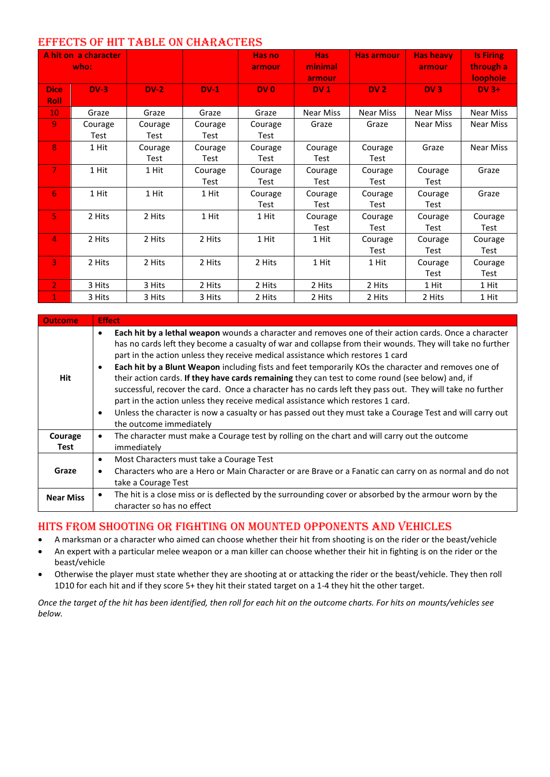## EFFECTS OF HIT TABLE ON CHARACTERS

|                            | A hit on a character<br>who: |         |         | Has no<br>armour | Has:<br>minimal<br>armour | Has armour       | <b>Has heavy</b><br>armour | <b>Is Firing</b><br>through a<br>loophole |
|----------------------------|------------------------------|---------|---------|------------------|---------------------------|------------------|----------------------------|-------------------------------------------|
| <b>Dice</b><br><b>Roll</b> | $DV-3$                       | $DV-2$  | $DV-1$  | DV <sub>0</sub>  | DV <sub>1</sub>           | DV <sub>2</sub>  | DV3                        | $DV$ 3+                                   |
| 10 <sub>1</sub>            | Graze                        | Graze   | Graze   | Graze            | Near Miss                 | <b>Near Miss</b> | <b>Near Miss</b>           | <b>Near Miss</b>                          |
| 9                          | Courage                      | Courage | Courage | Courage          | Graze                     | Graze            | Near Miss                  | Near Miss                                 |
|                            | Test                         | Test    | Test    | Test             |                           |                  |                            |                                           |
| 8                          | 1 Hit                        | Courage | Courage | Courage          | Courage                   | Courage          | Graze                      | Near Miss                                 |
|                            |                              | Test    | Test    | Test             | Test                      | Test             |                            |                                           |
| $\overline{7}$             | 1 Hit                        | 1 Hit   | Courage | Courage          | Courage                   | Courage          | Courage                    | Graze                                     |
|                            |                              |         | Test    | Test             | Test                      | Test             | Test                       |                                           |
| 6                          | 1 Hit                        | 1 Hit   | 1 Hit   | Courage          | Courage                   | Courage          | Courage                    | Graze                                     |
|                            |                              |         |         | Test             | Test                      | Test             | Test                       |                                           |
| $\overline{5}$             | 2 Hits                       | 2 Hits  | 1 Hit   | 1 Hit            | Courage                   | Courage          | Courage                    | Courage                                   |
|                            |                              |         |         |                  | Test                      | Test             | Test                       | Test                                      |
| $\overline{4}$             | 2 Hits                       | 2 Hits  | 2 Hits  | 1 Hit            | 1 Hit                     | Courage          | Courage                    | Courage                                   |
|                            |                              |         |         |                  |                           | Test             | Test                       | Test                                      |
| $\overline{3}$             | 2 Hits                       | 2 Hits  | 2 Hits  | 2 Hits           | 1 Hit                     | 1 Hit            | Courage                    | Courage                                   |
|                            |                              |         |         |                  |                           |                  | Test                       | Test                                      |
| $\mathbf{2}$               | 3 Hits                       | 3 Hits  | 2 Hits  | 2 Hits           | 2 Hits                    | 2 Hits           | 1 Hit                      | 1 Hit                                     |
| $\mathbf 1$                | 3 Hits                       | 3 Hits  | 3 Hits  | 2 Hits           | 2 Hits                    | 2 Hits           | 2 Hits                     | 1 Hit                                     |

| <b>Outcome</b>   | <b>Effect</b>                                                                                                                                                                                                                                                                                                                                                                                                                                                                                                                                                                                                                                                                                                                                                                                                                                                                                      |
|------------------|----------------------------------------------------------------------------------------------------------------------------------------------------------------------------------------------------------------------------------------------------------------------------------------------------------------------------------------------------------------------------------------------------------------------------------------------------------------------------------------------------------------------------------------------------------------------------------------------------------------------------------------------------------------------------------------------------------------------------------------------------------------------------------------------------------------------------------------------------------------------------------------------------|
| Hit              | Each hit by a lethal weapon wounds a character and removes one of their action cards. Once a character<br>$\bullet$<br>has no cards left they become a casualty of war and collapse from their wounds. They will take no further<br>part in the action unless they receive medical assistance which restores 1 card<br>Each hit by a Blunt Weapon including fists and feet temporarily KOs the character and removes one of<br>$\bullet$<br>their action cards. If they have cards remaining they can test to come round (see below) and, if<br>successful, recover the card. Once a character has no cards left they pass out. They will take no further<br>part in the action unless they receive medical assistance which restores 1 card.<br>Unless the character is now a casualty or has passed out they must take a Courage Test and will carry out<br>$\bullet$<br>the outcome immediately |
| Courage<br>Test  | The character must make a Courage test by rolling on the chart and will carry out the outcome<br>$\bullet$<br>immediately                                                                                                                                                                                                                                                                                                                                                                                                                                                                                                                                                                                                                                                                                                                                                                          |
| Graze            | Most Characters must take a Courage Test<br>٠<br>Characters who are a Hero or Main Character or are Brave or a Fanatic can carry on as normal and do not<br>$\bullet$<br>take a Courage Test                                                                                                                                                                                                                                                                                                                                                                                                                                                                                                                                                                                                                                                                                                       |
| <b>Near Miss</b> | The hit is a close miss or is deflected by the surrounding cover or absorbed by the armour worn by the<br>$\bullet$<br>character so has no effect                                                                                                                                                                                                                                                                                                                                                                                                                                                                                                                                                                                                                                                                                                                                                  |

# HITS FROM SHOOTING OR FIGHTING ON MOUNTED OPPONENTS AND VEHICLES

- A marksman or a character who aimed can choose whether their hit from shooting is on the rider or the beast/vehicle
- An expert with a particular melee weapon or a man killer can choose whether their hit in fighting is on the rider or the beast/vehicle
- Otherwise the player must state whether they are shooting at or attacking the rider or the beast/vehicle. They then roll 1D10 for each hit and if they score 5+ they hit their stated target on a 1-4 they hit the other target.

*Once the target of the hit has been identified, then roll for each hit on the outcome charts. For hits on mounts/vehicles see below.*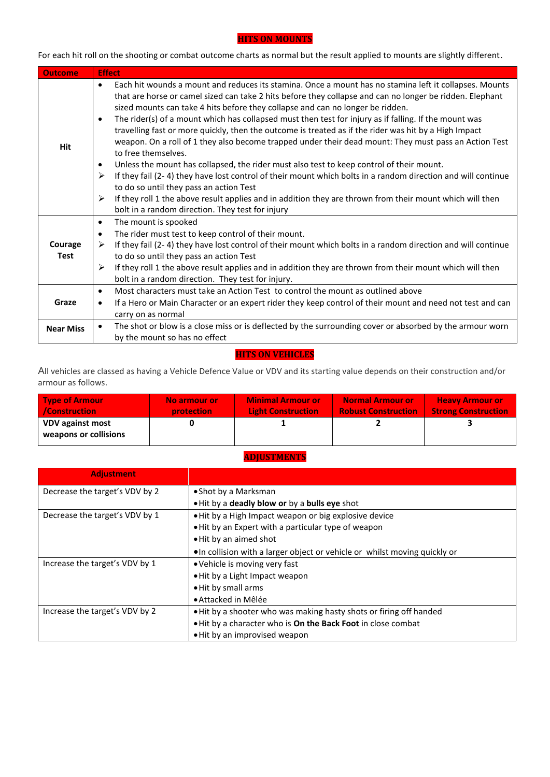#### **HITS ON MOUNTS**

For each hit roll on the shooting or combat outcome charts as normal but the result applied to mounts are slightly different.

| <b>Outcome</b>         | <b>Effect</b>                                                                                                                                                                                                                                                                                                                                                                                                                                                                                                                                                                                                                                                                                                                                                                                                                                                                                                                                                                                                                                                                                                                  |
|------------------------|--------------------------------------------------------------------------------------------------------------------------------------------------------------------------------------------------------------------------------------------------------------------------------------------------------------------------------------------------------------------------------------------------------------------------------------------------------------------------------------------------------------------------------------------------------------------------------------------------------------------------------------------------------------------------------------------------------------------------------------------------------------------------------------------------------------------------------------------------------------------------------------------------------------------------------------------------------------------------------------------------------------------------------------------------------------------------------------------------------------------------------|
| Hit                    | Each hit wounds a mount and reduces its stamina. Once a mount has no stamina left it collapses. Mounts<br>$\bullet$<br>that are horse or camel sized can take 2 hits before they collapse and can no longer be ridden. Elephant<br>sized mounts can take 4 hits before they collapse and can no longer be ridden.<br>The rider(s) of a mount which has collapsed must then test for injury as if falling. If the mount was<br>$\bullet$<br>travelling fast or more quickly, then the outcome is treated as if the rider was hit by a High Impact<br>weapon. On a roll of 1 they also become trapped under their dead mount: They must pass an Action Test<br>to free themselves.<br>Unless the mount has collapsed, the rider must also test to keep control of their mount.<br>$\bullet$<br>If they fail (2-4) they have lost control of their mount which bolts in a random direction and will continue<br>➤<br>to do so until they pass an action Test<br>If they roll 1 the above result applies and in addition they are thrown from their mount which will then<br>➤<br>bolt in a random direction. They test for injury |
| Courage<br><b>Test</b> | The mount is spooked<br>$\bullet$<br>The rider must test to keep control of their mount.<br>$\bullet$<br>If they fail (2-4) they have lost control of their mount which bolts in a random direction and will continue<br>➤<br>to do so until they pass an action Test<br>If they roll 1 the above result applies and in addition they are thrown from their mount which will then<br>≻<br>bolt in a random direction. They test for injury.                                                                                                                                                                                                                                                                                                                                                                                                                                                                                                                                                                                                                                                                                    |
| Graze                  | Most characters must take an Action Test to control the mount as outlined above<br>$\bullet$<br>If a Hero or Main Character or an expert rider they keep control of their mount and need not test and can<br>٠<br>carry on as normal                                                                                                                                                                                                                                                                                                                                                                                                                                                                                                                                                                                                                                                                                                                                                                                                                                                                                           |
| <b>Near Miss</b>       | The shot or blow is a close miss or is deflected by the surrounding cover or absorbed by the armour worn<br>by the mount so has no effect                                                                                                                                                                                                                                                                                                                                                                                                                                                                                                                                                                                                                                                                                                                                                                                                                                                                                                                                                                                      |

## **HITS ON VEHICLES**

All vehicles are classed as having a Vehicle Defence Value or VDV and its starting value depends on their construction and/or armour as follows.

| <b>Type of Armour</b>                            | No armour or      | <b>Minimal Armour or</b>  | <b>Normal Armour or</b>    | <b>Heavy Armour or</b>     |
|--------------------------------------------------|-------------------|---------------------------|----------------------------|----------------------------|
| /Construction                                    | <b>protection</b> | <b>Light Construction</b> | <b>Robust Construction</b> | <b>Strong Construction</b> |
| <b>VDV against most</b><br>weapons or collisions |                   |                           |                            |                            |

## **ADJUSTMENTS**

| <b>Adjustment</b>              |                                                                           |
|--------------------------------|---------------------------------------------------------------------------|
| Decrease the target's VDV by 2 | • Shot by a Marksman                                                      |
|                                | . Hit by a deadly blow or by a bulls eye shot                             |
| Decrease the target's VDV by 1 | • Hit by a High Impact weapon or big explosive device                     |
|                                | . Hit by an Expert with a particular type of weapon                       |
|                                | . Hit by an aimed shot                                                    |
|                                | •In collision with a larger object or vehicle or whilst moving quickly or |
| Increase the target's VDV by 1 | • Vehicle is moving very fast                                             |
|                                | • Hit by a Light Impact weapon                                            |
|                                | . Hit by small arms                                                       |
|                                | • Attacked in Mêlée                                                       |
| Increase the target's VDV by 2 | . Hit by a shooter who was making hasty shots or firing off handed        |
|                                | . Hit by a character who is On the Back Foot in close combat              |
|                                | • Hit by an improvised weapon                                             |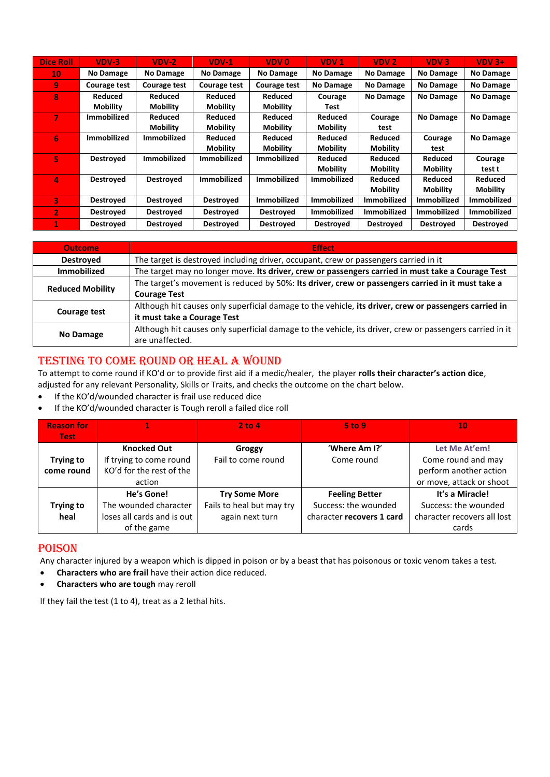| <b>Dice Roll</b> | $VDV-3$            | $VDV-2$             | $VDV-1$            | VDV 0              | VDV <sub>1</sub>   | VDV <sub>2</sub>   | VDV <sub>3</sub>   | $VDV$ 3+           |
|------------------|--------------------|---------------------|--------------------|--------------------|--------------------|--------------------|--------------------|--------------------|
| 10               | No Damage          | No Damage           | No Damage          | No Damage          | <b>No Damage</b>   | <b>No Damage</b>   | <b>No Damage</b>   | No Damage          |
| 9                | Courage test       | <b>Courage test</b> | Courage test       | Courage test       | <b>No Damage</b>   | No Damage          | <b>No Damage</b>   | No Damage          |
| R                | <b>Reduced</b>     | <b>Reduced</b>      | <b>Reduced</b>     | <b>Reduced</b>     | Courage            | <b>No Damage</b>   | <b>No Damage</b>   | <b>No Damage</b>   |
|                  | <b>Mobility</b>    | <b>Mobility</b>     | <b>Mobility</b>    | <b>Mobility</b>    | Test               |                    |                    |                    |
| 7                | <b>Immobilized</b> | Reduced             | Reduced            | <b>Reduced</b>     | <b>Reduced</b>     | Courage            | <b>No Damage</b>   | No Damage          |
|                  |                    | <b>Mobility</b>     | <b>Mobility</b>    | <b>Mobility</b>    | <b>Mobility</b>    | test               |                    |                    |
| 6                | <b>Immobilized</b> | <b>Immobilized</b>  | <b>Reduced</b>     | <b>Reduced</b>     | <b>Reduced</b>     | Reduced            | Courage            | No Damage          |
|                  |                    |                     | <b>Mobility</b>    | <b>Mobility</b>    | <b>Mobility</b>    | <b>Mobility</b>    | test               |                    |
| 5                | <b>Destroyed</b>   | Immobilized         | Immobilized        | <b>Immobilized</b> | Reduced            | Reduced            | Reduced            | Courage            |
|                  |                    |                     |                    |                    | <b>Mobility</b>    | <b>Mobility</b>    | <b>Mobility</b>    | test t             |
| Δ                | Destroyed          | <b>Destroved</b>    | <b>Immobilized</b> | <b>Immobilized</b> | <b>Immobilized</b> | Reduced            | Reduced            | Reduced            |
|                  |                    |                     |                    |                    |                    | <b>Mobility</b>    | <b>Mobility</b>    | <b>Mobility</b>    |
| 3                | <b>Destroyed</b>   | <b>Destroved</b>    | <b>Destroyed</b>   | <b>Immobilized</b> | Immobilized        | <b>Immobilized</b> | <b>Immobilized</b> | <b>Immobilized</b> |
| $\overline{2}$   | <b>Destroved</b>   | <b>Destroved</b>    | <b>Destroved</b>   | <b>Destroved</b>   | Immobilized        | <b>Immobilized</b> | <b>Immobilized</b> | <b>Immobilized</b> |
|                  | <b>Destroved</b>   | <b>Destroved</b>    | <b>Destroved</b>   | <b>Destroyed</b>   | <b>Destroyed</b>   | <b>Destroyed</b>   | <b>Destroyed</b>   | <b>Destroved</b>   |

| <b>Outcome</b>          | <b>Effect</b>                                                                                            |
|-------------------------|----------------------------------------------------------------------------------------------------------|
| <b>Destroved</b>        | The target is destroyed including driver, occupant, crew or passengers carried in it                     |
| <b>Immobilized</b>      | The target may no longer move. Its driver, crew or passengers carried in must take a Courage Test        |
| <b>Reduced Mobility</b> | The target's movement is reduced by 50%: Its driver, crew or passengers carried in it must take a        |
|                         | <b>Courage Test</b>                                                                                      |
|                         | Although hit causes only superficial damage to the vehicle, its driver, crew or passengers carried in    |
| Courage test            | it must take a Courage Test                                                                              |
| No Damage               | Although hit causes only superficial damage to the vehicle, its driver, crew or passengers carried in it |
|                         | are unaffected.                                                                                          |

# TESTING TO COME ROUND OR HEAL A WOUND

To attempt to come round if KO'd or to provide first aid if a medic/healer, the player **rolls their character's action dice**, adjusted for any relevant Personality, Skills or Traits, and checks the outcome on the chart below.

- If the KO'd/wounded character is frail use reduced dice
- If the KO'd/wounded character is Tough reroll a failed dice roll

| <b>Reason for</b> |                            | $2$ to 4                  | $5$ to 9                  | 10                          |
|-------------------|----------------------------|---------------------------|---------------------------|-----------------------------|
| <b>Test</b>       |                            |                           |                           |                             |
|                   | <b>Knocked Out</b>         | <b>Groggy</b>             | 'Where Am I?'             | Let Me At'em!               |
| <b>Trying to</b>  | If trying to come round    | Fail to come round        | Come round                | Come round and may          |
| come round        | KO'd for the rest of the   |                           |                           | perform another action      |
|                   | action                     |                           |                           | or move, attack or shoot    |
|                   | He's Gone!                 | <b>Try Some More</b>      | <b>Feeling Better</b>     | It's a Miracle!             |
| <b>Trying to</b>  | The wounded character      | Fails to heal but may try | Success: the wounded      | Success: the wounded        |
| heal              | loses all cards and is out | again next turn           | character recovers 1 card | character recovers all lost |
|                   | of the game                |                           |                           | cards                       |

# POISON

Any character injured by a weapon which is dipped in poison or by a beast that has poisonous or toxic venom takes a test.

- **Characters who are frail** have their action dice reduced.
- **Characters who are tough** may reroll

If they fail the test (1 to 4), treat as a 2 lethal hits.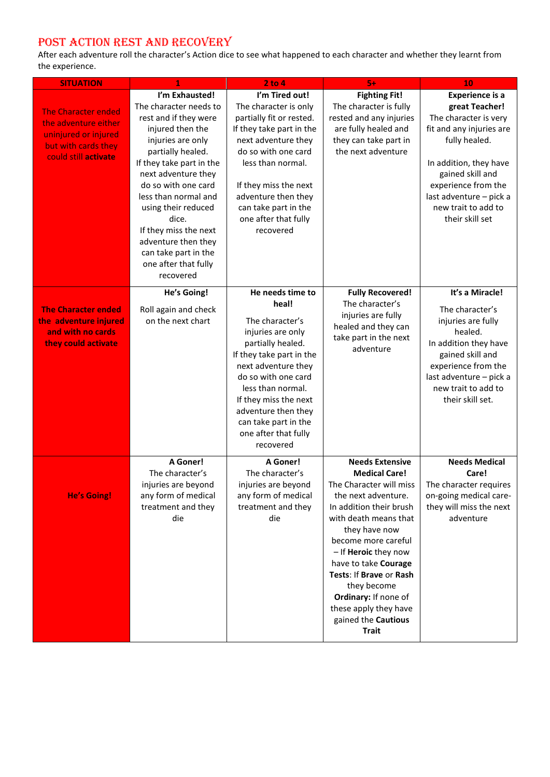# POST ACTION REST AND RECOVERY

After each adventure roll the character's Action dice to see what happened to each character and whether they learnt from the experience.

| <b>SITUATION</b>                                                                                                          | 1                                                                                                                                                                                                                                                                                                                                                                              | $2$ to $4$                                                                                                                                                                                                                                                                                         | $5+$                                                                                                                                                                                                                                                                                                                                                                           | 10                                                                                                                                                                                                                                                       |
|---------------------------------------------------------------------------------------------------------------------------|--------------------------------------------------------------------------------------------------------------------------------------------------------------------------------------------------------------------------------------------------------------------------------------------------------------------------------------------------------------------------------|----------------------------------------------------------------------------------------------------------------------------------------------------------------------------------------------------------------------------------------------------------------------------------------------------|--------------------------------------------------------------------------------------------------------------------------------------------------------------------------------------------------------------------------------------------------------------------------------------------------------------------------------------------------------------------------------|----------------------------------------------------------------------------------------------------------------------------------------------------------------------------------------------------------------------------------------------------------|
| <b>The Character ended</b><br>the adventure either<br>uninjured or injured<br>but with cards they<br>could still activate | I'm Exhausted!<br>The character needs to<br>rest and if they were<br>injured then the<br>injuries are only<br>partially healed.<br>If they take part in the<br>next adventure they<br>do so with one card<br>less than normal and<br>using their reduced<br>dice.<br>If they miss the next<br>adventure then they<br>can take part in the<br>one after that fully<br>recovered | I'm Tired out!<br>The character is only<br>partially fit or rested.<br>If they take part in the<br>next adventure they<br>do so with one card<br>less than normal.<br>If they miss the next<br>adventure then they<br>can take part in the<br>one after that fully<br>recovered                    | <b>Fighting Fit!</b><br>The character is fully<br>rested and any injuries<br>are fully healed and<br>they can take part in<br>the next adventure                                                                                                                                                                                                                               | <b>Experience is a</b><br>great Teacher!<br>The character is very<br>fit and any injuries are<br>fully healed.<br>In addition, they have<br>gained skill and<br>experience from the<br>last adventure - pick a<br>new trait to add to<br>their skill set |
| <b>The Character ended</b><br>the adventure injured<br>and with no cards<br>they could activate                           | He's Going!<br>Roll again and check<br>on the next chart                                                                                                                                                                                                                                                                                                                       | He needs time to<br>heal!<br>The character's<br>injuries are only<br>partially healed.<br>If they take part in the<br>next adventure they<br>do so with one card<br>less than normal.<br>If they miss the next<br>adventure then they<br>can take part in the<br>one after that fully<br>recovered | <b>Fully Recovered!</b><br>The character's<br>injuries are fully<br>healed and they can<br>take part in the next<br>adventure                                                                                                                                                                                                                                                  | It's a Miracle!<br>The character's<br>injuries are fully<br>healed.<br>In addition they have<br>gained skill and<br>experience from the<br>last adventure - pick a<br>new trait to add to<br>their skill set.                                            |
| <b>He's Going!</b>                                                                                                        | A Goner!<br>The character's<br>injuries are beyond<br>any form of medical<br>treatment and they<br>die                                                                                                                                                                                                                                                                         | A Goner!<br>The character's<br>injuries are beyond<br>any form of medical<br>treatment and they<br>die                                                                                                                                                                                             | <b>Needs Extensive</b><br><b>Medical Care!</b><br>The Character will miss<br>the next adventure.<br>In addition their brush<br>with death means that<br>they have now<br>become more careful<br>- If Heroic they now<br>have to take Courage<br>Tests: If Brave or Rash<br>they become<br>Ordinary: If none of<br>these apply they have<br>gained the Cautious<br><b>Trait</b> | <b>Needs Medical</b><br>Care!<br>The character requires<br>on-going medical care-<br>they will miss the next<br>adventure                                                                                                                                |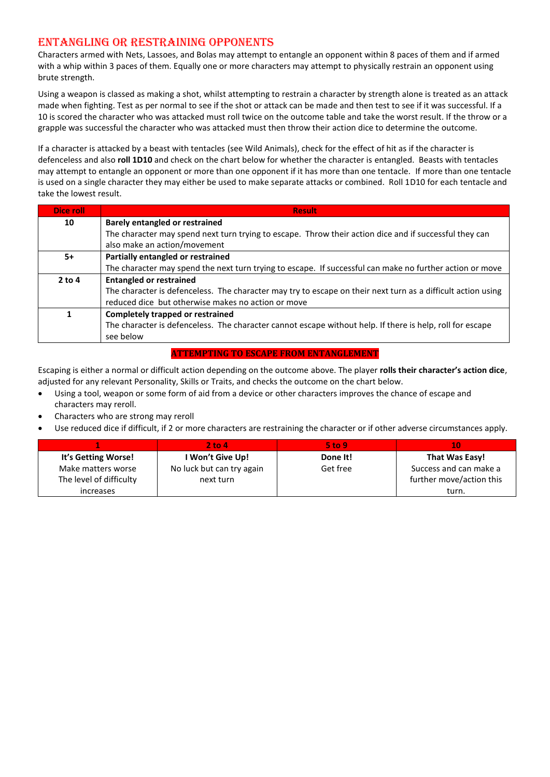# ENTANGLING OR RESTRAINING OPPONENTS

Characters armed with Nets, Lassoes, and Bolas may attempt to entangle an opponent within 8 paces of them and if armed with a whip within 3 paces of them. Equally one or more characters may attempt to physically restrain an opponent using brute strength.

Using a weapon is classed as making a shot, whilst attempting to restrain a character by strength alone is treated as an attack made when fighting. Test as per normal to see if the shot or attack can be made and then test to see if it was successful. If a 10 is scored the character who was attacked must roll twice on the outcome table and take the worst result. If the throw or a grapple was successful the character who was attacked must then throw their action dice to determine the outcome.

If a character is attacked by a beast with tentacles (see Wild Animals), check for the effect of hit as if the character is defenceless and also **roll 1D10** and check on the chart below for whether the character is entangled. Beasts with tentacles may attempt to entangle an opponent or more than one opponent if it has more than one tentacle. If more than one tentacle is used on a single character they may either be used to make separate attacks or combined. Roll 1D10 for each tentacle and take the lowest result.

| Dice roll | <b>Result</b>                                                                                                |  |  |  |  |  |
|-----------|--------------------------------------------------------------------------------------------------------------|--|--|--|--|--|
| 10        | <b>Barely entangled or restrained</b>                                                                        |  |  |  |  |  |
|           | The character may spend next turn trying to escape. Throw their action dice and if successful they can       |  |  |  |  |  |
|           | also make an action/movement                                                                                 |  |  |  |  |  |
| $5+$      | Partially entangled or restrained                                                                            |  |  |  |  |  |
|           | The character may spend the next turn trying to escape. If successful can make no further action or move     |  |  |  |  |  |
| $2$ to 4  | <b>Entangled or restrained</b>                                                                               |  |  |  |  |  |
|           | The character is defenceless. The character may try to escape on their next turn as a difficult action using |  |  |  |  |  |
|           | reduced dice but otherwise makes no action or move                                                           |  |  |  |  |  |
|           | <b>Completely trapped or restrained</b>                                                                      |  |  |  |  |  |
|           | The character is defenceless. The character cannot escape without help. If there is help, roll for escape    |  |  |  |  |  |
|           | see below                                                                                                    |  |  |  |  |  |

#### **ATTEMPTING TO ESCAPE FROM ENTANGLEMENT**

Escaping is either a normal or difficult action depending on the outcome above. The player **rolls their character's action dice**, adjusted for any relevant Personality, Skills or Traits, and checks the outcome on the chart below.

- Using a tool, weapon or some form of aid from a device or other characters improves the chance of escape and characters may reroll.
- Characters who are strong may reroll
- Use reduced dice if difficult, if 2 or more characters are restraining the character or if other adverse circumstances apply.

|                         | 2 to 4'                   | $5$ to 9 |                          |
|-------------------------|---------------------------|----------|--------------------------|
| It's Getting Worse!     | I Won't Give Up!          | Done It! | That Was Easy!           |
| Make matters worse      | No luck but can try again | Get free | Success and can make a   |
| The level of difficulty | next turn                 |          | further move/action this |
| increases               |                           |          | turn.                    |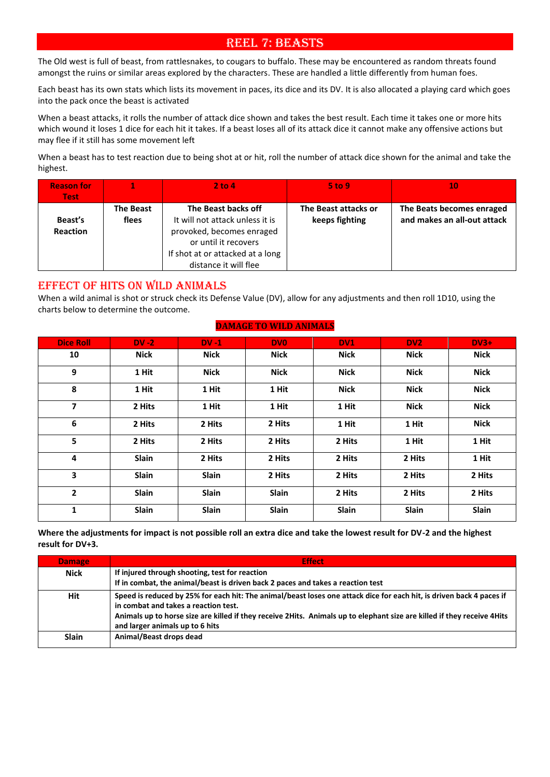# REEL 7: BEASTS

The Old west is full of beast, from rattlesnakes, to cougars to buffalo. These may be encountered as random threats found amongst the ruins or similar areas explored by the characters. These are handled a little differently from human foes.

Each beast has its own stats which lists its movement in paces, its dice and its DV. It is also allocated a playing card which goes into the pack once the beast is activated

When a beast attacks, it rolls the number of attack dice shown and takes the best result. Each time it takes one or more hits which wound it loses 1 dice for each hit it takes. If a beast loses all of its attack dice it cannot make any offensive actions but may flee if it still has some movement left

When a beast has to test reaction due to being shot at or hit, roll the number of attack dice shown for the animal and take the highest.

| <b>Reason for</b><br><b>Test</b> |                           | $2$ to $4$                                                                                                                                                               | <b>5 to 9</b>                          | 10                                                       |
|----------------------------------|---------------------------|--------------------------------------------------------------------------------------------------------------------------------------------------------------------------|----------------------------------------|----------------------------------------------------------|
| Beast's<br><b>Reaction</b>       | <b>The Beast</b><br>flees | The Beast backs off<br>It will not attack unless it is<br>provoked, becomes enraged<br>or until it recovers<br>If shot at or attacked at a long<br>distance it will flee | The Beast attacks or<br>keeps fighting | The Beats becomes enraged<br>and makes an all-out attack |

## EFFECT OF HITS ON WILD ANIMALS

When a wild animal is shot or struck check its Defense Value (DV), allow for any adjustments and then roll 1D10, using the charts below to determine the outcome.

#### **DAMAGE TO WILD ANIMALS**

| <b>Dice Roll</b> | $DV - 2$ | $DV - 1$     | <b>DVO</b>  | DV1         | DV <sub>2</sub> | $DV3+$      |
|------------------|----------|--------------|-------------|-------------|-----------------|-------------|
| 10               | Nick     | <b>Nick</b>  | <b>Nick</b> | <b>Nick</b> | <b>Nick</b>     | <b>Nick</b> |
| 9                | 1 Hit    | <b>Nick</b>  | <b>Nick</b> | <b>Nick</b> | <b>Nick</b>     | <b>Nick</b> |
| 8                | 1 Hit    | 1 Hit        | 1 Hit       | <b>Nick</b> | <b>Nick</b>     | <b>Nick</b> |
| 7                | 2 Hits   | 1 Hit        | 1 Hit       | 1 Hit       | <b>Nick</b>     | <b>Nick</b> |
| 6                | 2 Hits   | 2 Hits       | 2 Hits      | 1 Hit       | 1 Hit           | Nick        |
| 5                | 2 Hits   | 2 Hits       | 2 Hits      | 2 Hits      | 1 Hit           | 1 Hit       |
| 4                | Slain    | 2 Hits       | 2 Hits      | 2 Hits      | 2 Hits          | 1 Hit       |
| 3                | Slain    | Slain        | 2 Hits      | 2 Hits      | 2 Hits          | 2 Hits      |
| 2                | Slain    | <b>Slain</b> | Slain       | 2 Hits      | 2 Hits          | 2 Hits      |
| 1                | Slain    | Slain        | Slain       | Slain       | Slain           | Slain       |

**Where the adjustments for impact is not possible roll an extra dice and take the lowest result for DV-2 and the highest result for DV+3.**

| <b>Damage</b> | <b>Effect</b>                                                                                                                                                                                                                                                                                                              |
|---------------|----------------------------------------------------------------------------------------------------------------------------------------------------------------------------------------------------------------------------------------------------------------------------------------------------------------------------|
| <b>Nick</b>   | If injured through shooting, test for reaction<br>If in combat, the animal/beast is driven back 2 paces and takes a reaction test                                                                                                                                                                                          |
| <b>Hit</b>    | Speed is reduced by 25% for each hit: The animal/beast loses one attack dice for each hit, is driven back 4 paces if<br>in combat and takes a reaction test.<br>Animals up to horse size are killed if they receive 2Hits. Animals up to elephant size are killed if they receive 4Hits<br>and larger animals up to 6 hits |
| <b>Slain</b>  | Animal/Beast drops dead                                                                                                                                                                                                                                                                                                    |